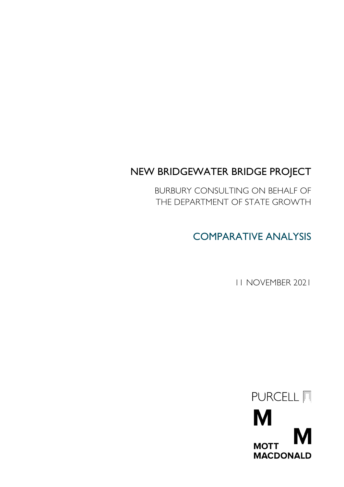# NEW BRIDGEWATER BRIDGE PROJECT

BURBURY CONSULTING ON BEHALF OF THE DEPARTMENT OF STATE GROWTH

COMPARATIVE ANALYSIS

11 NOVEMBER 2021

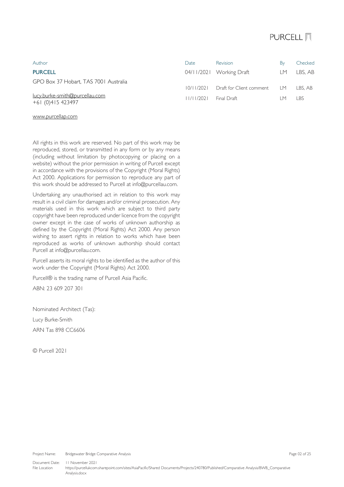## PURCELL **同**

| Author                                              | Date       | <b>Revision</b>          | By   | Checked    |
|-----------------------------------------------------|------------|--------------------------|------|------------|
| <b>PURCELL</b>                                      |            | 04/11/2021 Working Draft | IM.  | LBS. AB    |
| GPO Box 37 Hobart, TAS 7001 Australia               | 10/11/2021 | Draft for Client comment | LM - | LBS. AB    |
| lucy.burke-smith@purcellau.com<br>+61 (0)415 423497 | 11/11/2021 | Final Draft              | IM.  | <b>LBS</b> |

## [www.purcellap.com](http://www.purcellap.com/)

All rights in this work are reserved. No part of this work may be reproduced, stored, or transmitted in any form or by any means (including without limitation by photocopying or placing on a website) without the prior permission in writing of Purcell except in accordance with the provisions of the Copyright (Moral Rights) Act 2000. Applications for permission to reproduce any part of this work should be addressed to Purcell [at info@purcellau.com.](mailto:info@purcellau.com)

Undertaking any unauthorised act in relation to this work may result in a civil claim for damages and/or criminal prosecution. Any materials used in this work which are subject to third party copyright have been reproduced under licence from the copyright owner except in the case of works of unknown authorship as defined by the Copyright (Moral Rights) Act 2000. Any person wishing to assert rights in relation to works which have been reproduced as works of unknown authorship should contact Purcell [at info@purcellau.com.](mailto:info@purcellau.com)

Purcell asserts its moral rights to be identified as the author of this work under the Copyright (Moral Rights) Act 2000.

Purcell® is the trading name of Purcell Asia Pacific.

ABN: 23 609 207 301

Nominated Architect (Tas):

Lucy Burke-Smith ARN Tas 898 CC6606

© Purcell 2021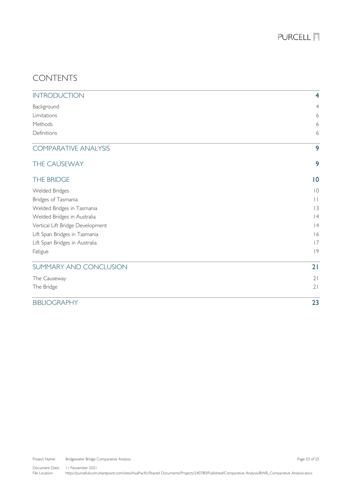## CONTENTS

| <b>INTRODUCTION</b>              | $\overline{4}$ |
|----------------------------------|----------------|
| Background                       | $\overline{4}$ |
| Limitations                      | 6              |
| Methods                          | 6              |
| Definitions                      | 6              |
| <b>COMPARATIVE ANALYSIS</b>      | 9              |
| THE CAUSEWAY                     | 9              |
| THE BRIDGE                       | 0              |
| <b>Welded Bridges</b>            | $ 0\rangle$    |
| Bridges of Tasmania              | $\vert \vert$  |
| Welded Bridges in Tasmania       | 3              |
| Welded Bridges in Australia      | 4              |
| Vertical Lift Bridge Development | 4              |
| Lift Span Bridges in Tasmania    | 16             |
| Lift Span Bridges in Australia   | 7              |
| Fatigue                          | 9              |
| SUMMARY AND CONCLUSION           | 21             |
| The Causeway                     | 21             |
| The Bridge                       | 21             |
| <b>BIBLIOGRAPHY</b>              | 23             |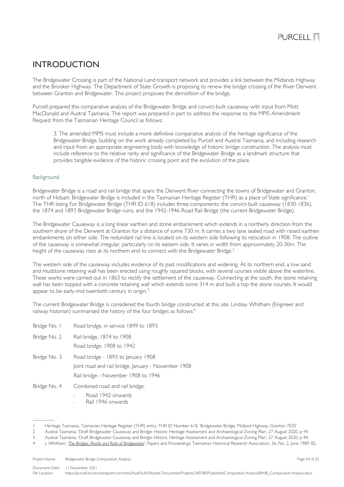## <span id="page-3-0"></span>INTRODUCTION

The Bridgewater Crossing is part of the National Land transport network and provides a link between the Midlands Highway and the Brooker Highway. The Department of State Growth is proposing to renew the bridge crossing of the River Derwent between Granton and Bridgewater. This project proposes the demolition of the bridge.

Purcell prepared this comparative analysis of the Bridgewater Bridge and convict-built causeway with input from Mott MacDonald and Austral Tasmania. The report was prepared in part to address the response to the MPIS Amendment Request from the Tasmanian Heritage Council as follows:

3. The amended MPIS must include a more definitive comparative analysis of the heritage significance of the Bridgewater Bridge, building on the work already completed by Purcell and Austral Tasmania, and including research and input from an appropriate engineering body with knowledge of historic bridge construction. The analysis must include reference to the relative rarity and significance of the Bridgewater Bridge as a landmark structure that provides tangible evidence of the historic crossing point and the evolution of the place.

## <span id="page-3-1"></span>Background

Bridgewater Bridge is a road and rail bridge that spans the Derwent River connecting the towns of Bridgewater and Granton, north of Hobart. Bridgewater Bridge is included in the Tasmanian Heritage Register (THR) as a place of State significance. [1](#page-3-2) The THR listing For Bridgewater Bridge (THR ID 618) includes three components: the convict-built causeway (1830-1836), the 1874 and 1893 Bridgewater Bridge ruins, and the 1942-1946 Road Rail Bridge (the current Bridgewater Bridge).

The Bridgewater Causeway is a long linear earthen and stone embankment which extends in a northerly direction from the southern shore of the Derwent at Granton for a distance of some 730 m. It carries a two lane sealed road with raised earthen embankments on either side. The redundant rail line is located on its western side following its relocation in 1908. The outline of the causeway is somewhat irregular, particularly on its eastern side. It varies in width from approximately 20-30m. The height of the causeway rises at its northern end to connect with the Bridgewater Bridge.<sup>[2](#page-3-3)</sup>

The western side of the causeway includes evidence of its past modifications and widening. At its northern end, a low sand and mudstone retaining wall has been erected using roughly squared blocks, with several courses visible above the waterline. These works were carried out in 1863 to rectify the settlement of the causeway. Connecting at the south, the stone retaining wall has been topped with a concrete retaining wall which extends some 314 m and built a top the stone courses. It would appear to be early-mid twentieth century in origin.<sup>[3](#page-3-4)</sup>

The current Bridgewater Bridge is considered the fourth bridge constructed at this site. Lindsay Whitham (Engineer and railway historian) summarised the history of the four bridges as follows:<sup>[4](#page-3-5)</sup>

- Bridge No. 1 Road bridge, in service 1849 to 1893
- Bridge No. 2 Rail bridge, 1874 to 1908
	- Road bridge, 1908 to 1942
- Bridge No. 3 Road bridge 1893 to January 1908
	- Joint road and rail bridge, January November 1908
		- Rail bridge November 1908 to 1946
- Bridge No. 4 Combined road and rail bridge;
	- Road 1942 onwards
		- Rail 1946 onwards

<sup>1</sup> Heritage Tasmania, Tasmanian Heritage Register (THR) entry, THR ID Number 618, 'Bridgewater Bridge, Midland Highway, Granton 7030'

<sup>2</sup> Austral Tasmania, 'Draft Bridgewater Causeway and Bridge: Historic Heritage Assessment and Archaeological Zoning Plan', 27 August 2020, p 44.

<span id="page-3-5"></span><span id="page-3-4"></span><span id="page-3-3"></span><span id="page-3-2"></span><sup>3</sup> Austral Tasmania, 'Draft Bridgewater Causeway and Bridge: Historic Heritage Assessment and Archaeological Zoning Plan', 27 August 2020, p 44.

<sup>4</sup> L Whitham, '*[The Bridges, Roads and Rails of Bridgewater](https://search.informit.org/doi/abs/10.3316/ielapa.900101326)*', Papers and Proceedings: Tasmanian Historical Research Association, 36, No. 2, June 1989: 82.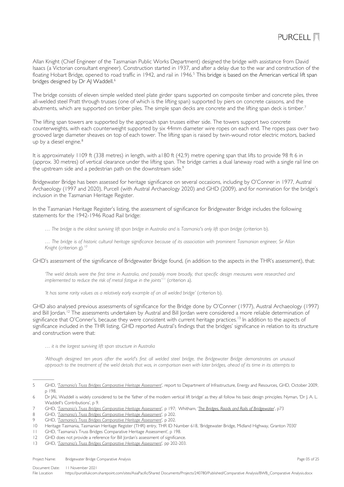

Allan Knight (Chief Engineer of the Tasmanian Public Works Department) designed the bridge with assistance from David Isaacs (a Victorian consultant engineer). Construction started in 1937, and after a delay due to the war and construction of the floating Hobart Bridge, opened to road traffic in 1942, and rail in 1946.<sup>[5](#page-4-0)</sup> This bridge is based on the American vertical lift span bridges designed by Dr AJ Waddell.<sup>[6](#page-4-1)</sup>

The bridge consists of eleven simple welded steel plate girder spans supported on composite timber and concrete piles, three all-welded steel Pratt through trusses (one of which is the lifting span) supported by piers on concrete caissons, and the abutments, which are supported on timber piles. The simple span decks are concrete and the lifting span deck is timber.<sup>[7](#page-4-2)</sup>

The lifting span towers are supported by the approach span trusses either side. The towers support two concrete counterweights, with each counterweight supported by six 44mm diameter wire ropes on each end. The ropes pass over two grooved large diameter sheaves on top of each tower. The lifting span is raised by twin-wound rotor electric motors, backed up by a diesel engine.<sup>[8](#page-4-3)</sup>

It is approximately 1109 ft (338 metres) in length, with a180 ft (42.9) metre opening span that lifts to provide 98 ft 6 in (approx. 30 metres) of vertical clearance under the lifting span. The bridge carries a dual laneway road with a single rail line on the upstream side and a pedestrian path on the downstream side.<sup>[9](#page-4-4)</sup>

Bridgewater Bridge has been assessed for heritage significance on several occasions, including by O'Conner in 1977, Austral Archaeology (1997 and 2020), Purcell (with Austral Archaeology 2020) and GHD (2009), and for nomination for the bridge's inclusion in the Tasmanian Heritage Register.

In the Tasmanian Heritage Register's listing, the assessment of significance for Bridgewater Bridge includes the following statements for the 1942-1946 Road Rail bridge:

*… The bridge is the oldest surviving lift span bridge in Australia and is Tasmania's only lift span bridge* (criterion b).

*… The bridge is of historic cultural heritage significance because of its association with prominent Tasmanian engineer, Sir Allan Knight* (criterion g)*. [10](#page-4-5)*

GHD's assessment of the significance of Bridgewater Bridge found, (in addition to the aspects in the THR's assessment), that:

*'The weld details were the first time in Australia, and possibly more broadly, that specific design measures were researched and implemented to reduce the risk of metal fatigue in the joints' [11](#page-4-6)* (criterion a)*.*

*'It has some rarity values as a relatively early example of an all welded bridge'* (criterion b).

GHD also analysed previous assessments of significance for the Bridge done by O'Conner (1977), Austral Archaeology (1997) and Bill Jordan.<sup>[12](#page-4-7)</sup> The assessments undertaken by Austral and Bill Jordan were considered a more reliable determination of significance that O'Conner's, because they were consistent with current heritage practices.<sup>[13](#page-4-8)</sup> In addition to the aspects of significance included in the THR listing, GHD reported Austral's findings that the bridges' significance in relation to its structure and construction were that:

*… it is the largest surviving lift span structure in Australia*

*'Although designed ten years after the world's first all welded steel bridge, the Bridgewater Bridge demonstrates an unusual approach to the treatment of the weld details that was, in comparison even with later bridges, ahead of its time in its attempts to* 

Project Name: Bridgewater Bridge Comparative Analysis **Page 05 of 25** of 25 of 25

<span id="page-4-0"></span><sup>5</sup> GHD, '*[Tasmania's Truss Bridges Comparative Heritage Assessment](https://www.burnie.net/files/assets/public/hptrim/land-use-and-planning-programs-heritage-listings/burnie-heritage-study-doc-3-of-12-volume-2-assessment-and-management-report-cd-les-pln-012.pdf)*', report to Department of Infrastructure, Energy and Resources, GHD, October 2009, p 198.

<span id="page-4-1"></span><sup>6</sup> Dr JAL Waddell is widely considered to be the 'father of the modern vertical lift bridge' as they all follow his basic design principles. Nyman, 'Dr J. A. L. Waddell's Contributions', p 9.

<span id="page-4-2"></span><sup>7</sup> GHD, '*[Tasmania's Truss Bridges Comparative Heritage Assessment](https://www.burnie.net/files/assets/public/hptrim/land-use-and-planning-programs-heritage-listings/burnie-heritage-study-doc-3-of-12-volume-2-assessment-and-management-report-cd-les-pln-012.pdf)*', p 197; Whitham, '*[The Bridges, Roads and Rails of Bridgewater](https://search.informit.org/doi/abs/10.3316/ielapa.900101326)*', p73

<span id="page-4-3"></span><sup>8</sup> GHD, '*[Tasmania's Truss Bridges Comparative Heritage Assessment](https://www.burnie.net/files/assets/public/hptrim/land-use-and-planning-programs-heritage-listings/burnie-heritage-study-doc-3-of-12-volume-2-assessment-and-management-report-cd-les-pln-012.pdf)*', p 202.

<span id="page-4-4"></span><sup>9</sup> GHD, '*[Tasmania's Truss Bridges Comparative Heritage Assessment](https://www.burnie.net/files/assets/public/hptrim/land-use-and-planning-programs-heritage-listings/burnie-heritage-study-doc-3-of-12-volume-2-assessment-and-management-report-cd-les-pln-012.pdf)*', p 202.

<span id="page-4-5"></span><sup>10</sup> Heritage Tasmania, Tasmanian Heritage Register (THR) entry, THR ID Number 618, 'Bridgewater Bridge, Midland Highway, Granton 7030'

<span id="page-4-6"></span><sup>11</sup> GHD, ['Tasmania's Truss Bridges Comparative Heritage Assessment',](https://www.burnie.net/files/assets/public/hptrim/land-use-and-planning-programs-heritage-listings/burnie-heritage-study-doc-3-of-12-volume-2-assessment-and-management-report-cd-les-pln-012.pdf) p 198.<br>12 GHD does not provide a reference for Bill Iordan's assessment of significanc

<span id="page-4-7"></span>GHD does not provide a reference for Bill Jordan's assessment of significance.

<span id="page-4-8"></span><sup>13</sup> GHD, '*[Tasmania's Truss Bridges Comparative Heritage Assessment](https://www.burnie.net/files/assets/public/hptrim/land-use-and-planning-programs-heritage-listings/burnie-heritage-study-doc-3-of-12-volume-2-assessment-and-management-report-cd-les-pln-012.pdf)*', pp 202-203.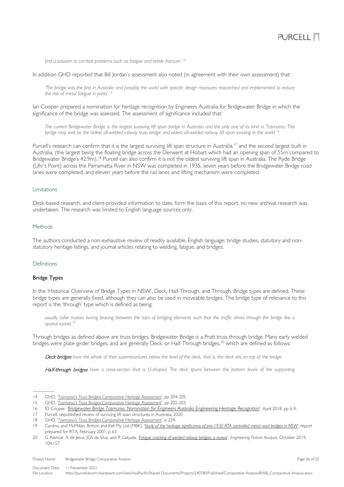

*find a solution to combat problems such as fatigue and brittle fracture'; [14](#page-5-3)*

In addition GHD reported that Bill Jordan's assessment also noted (in agreement with their own assessment) that:

*'The bridge was the first in Australia and possibly the world with specific design measures researched and implemented to reduce the risk of metal fatigue in joints'. [15](#page-5-4)*

Ian Cooper prepared a nomination for heritage recognition by Engineers Australia for Bridgewater Bridge in which the significance of the bridge was assessed. The assessment of significance included that:

*The current Bridgewater Bridge is the largest surviving lift span bridge in Australia and the only one of its kind in Tasmania. This bridge may well be the oldest all-welded railway truss bridge and oldest all-welded railway lift span existing in the world.[16](#page-5-5)*

Purcell's research can confirm that it is the largest surviving lift span structure in Australia, [17](#page-5-6) and the second largest built in Australia, (the largest being the floating bridge across the Derwent at Hobart which had an opening span of 55m compared to Bridgewater Bridge's 42.9m). <sup>Is</sup> Purcell can also confirm it is not the oldest surviving lift span in Australia. The Ryde Bridge (Uhr's Point) across the Parramatta River in NSW was completed in 1935, seven years before the Bridgewater Bridge road lanes were completed, and eleven years before the rail lanes and lifting mechanism were completed.

### <span id="page-5-0"></span>Limitations

Desk-based research, and client-provided information to date, form the basis of this report, no new archival research was undertaken. The research was limited to English language sources only.

## <span id="page-5-1"></span>Methods

The authors conducted a non-exhaustive review of readily available, English language: bridge studies, statutory and nonstatutory heritage listings, and journal articles relating to welding, fatigue, and bridges.

### <span id="page-5-2"></span>Definitions

### Bridge Types

In the 'Historical Overview of Bridge Types in NSW', Deck, Half-Through, and Through, Bridge types are defined. These bridge types are generally fixed, although they can also be used in moveable bridges. The bridge type of relevance to this report is the 'through' type which is defined as being:

*usually taller trusses having bracing between the tops of bridging elements such that the traffic drives through the bridge like a spatial tunnel.[19](#page-5-8)*

Through bridges as defined above are truss bridges. Bridgewater Bridge is a Pratt truss through bridge. Many early welded bridges were plate-girder bridges, and are generally Deck, or Half-Through bridges, [20](#page-5-9) which are defined as follows:

Deck bridges *have the whole of their superstructures below the level of the deck, that is, the deck sits on top of the bridge.*

Half-through bridges have a cross-section that is U-shaped. The deck spans between the bottom levels of the supporting

<span id="page-5-3"></span><sup>14</sup> GHD, '*[Tasmania's Truss Bridges Comparative Heritage Assessment](https://www.burnie.net/files/assets/public/hptrim/land-use-and-planning-programs-heritage-listings/burnie-heritage-study-doc-3-of-12-volume-2-assessment-and-management-report-cd-les-pln-012.pdf)*', pp 204-205.

<span id="page-5-4"></span><sup>15</sup> GHD, '*[Tasmania's Truss Bridges Comparative Heritage Assessment](https://www.burnie.net/files/assets/public/hptrim/land-use-and-planning-programs-heritage-listings/burnie-heritage-study-doc-3-of-12-volume-2-assessment-and-management-report-cd-les-pln-012.pdf)*', pp 202-203.

<span id="page-5-5"></span><sup>16</sup> ID Cooper. '*[Bridgewater Bridge Tasmania. Nomination for Engineers Australia Engineering Heritage Recognition](https://portal.engineersaustralia.org.au/heritage/bridgewater-bridge-hobart-tasmania)*'. April 2018, pp 6-9.

<span id="page-5-6"></span><sup>17</sup> Purcell, unpublished review of surviving lift span structures in Australia, 2020

<span id="page-5-7"></span><sup>18</sup> GHD, '*[Tasmania's Truss Bridges Comparative Heritage Assessment](https://www.burnie.net/files/assets/public/hptrim/land-use-and-planning-programs-heritage-listings/burnie-heritage-study-doc-3-of-12-volume-2-assessment-and-management-report-cd-les-pln-012.pdf)*', p 234.

<span id="page-5-8"></span><sup>19</sup> Cardno, and McMillan, Britton and Kell Pty Ltd (MBK), '*[Study of the heritage significance of pre-1930 RTA controlled metal road bridges in NSW](https://roads-waterways.transport.nsw.gov.au/documents/about/environment/bridge-types-historical-overviews-2006-pre1930metal.pdf)*', report prepared for RTA, February 2001, p 63.

<span id="page-5-9"></span><sup>20</sup> G Alencar, A de Jesus, JGS da Silva, and R Calçada, '*[Fatigue cracking of welded railway bridges: a review](https://doi.org/10.1016/j.engfailanal.2019.05.037)*', *Engineering Failure Analysis*, October 2019, 104:157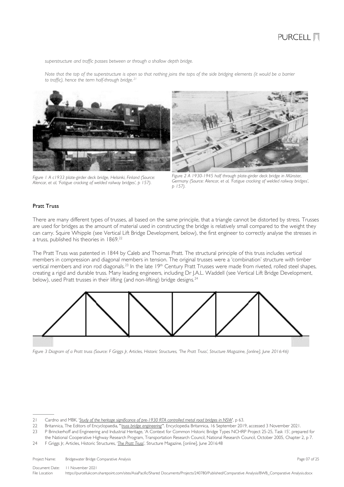*superstructure and traffic passes between or through a shallow depth bridge.*

*Note that the top of the superstructure is open so that nothing joins the tops of the side bridging elements (it would be a barrier to traffic), hence the term half-through bridge.[21](#page-6-0)*





*Figure 1 A c1933 plate-girder deck bridge, Helsinki, Finland (Source: Alencar, et al, 'Fatigue cracking of welded railway bridges', p 157).*

*Figure 2 A 1930-1945 half through plate-girder deck bridge in Münster, Germany (Source: Alencar, et al, 'Fatigue cracking of welded railway bridges', p 157).*

## Pratt Truss

There are many different types of trusses, all based on the same principle, that a triangle cannot be distorted by stress. Trusses are used for bridges as the amount of material used in constructing the bridge is relatively small compared to the weight they can carry. Squire Whipple (see Vertical Lift Bridge Development, below), the first engineer to correctly analyse the stresses in a truss, published his theories in 1869.[22](#page-6-1)

The Pratt Truss was patented in 1844 by Caleb and Thomas Pratt. The structural principle of this truss includes vertical members in compression and diagonal members in tension. The original trusses were a 'combination' structure with timber vertical members and iron rod diagonals.<sup>[23](#page-6-2)</sup> In the late 19<sup>th</sup> Century Pratt Trusses were made from riveted, rolled steel shapes, creating a rigid and durable truss. Many leading engineers, including Dr J.A.L. Waddell (see Vertical Lift Bridge Development, below), used Pratt trusses in their lifting (and non-lifting) bridge designs.<sup>[24](#page-6-3)</sup>



*Figure 3 Diagram of a Pratt truss (Source: F Griggs Jr, Articles, Historic Structures, ['The Pratt Truss',](https://www.structuremag.org/?p=8600) Structure Magazine, [online], June 2016:46)*

<span id="page-6-0"></span><sup>21</sup> Cardno and MBK, '*[Study of the heritage significance of pre-1930 RTA controlled metal road bridges in NSW](https://roads-waterways.transport.nsw.gov.au/documents/about/environment/bridge-types-historical-overviews-2006-pre1930metal.pdf)*', p 63.

<span id="page-6-1"></span><sup>22</sup> Britannica, The Editors of Encyclopaedia, "'*[truss bridge engineering](https://www.britannica.com/technology/truss-bridge)*'". Encyclopedia Britannica, 16 September 2019, accessed 3 November 2021.

<span id="page-6-2"></span><sup>23</sup> P Brinckerhoff and Engineering and Industrial Heritage, 'A Context for Common Historic Bridge Types NCHRP Project 25-25, Task 15', prepared for the National Cooperative Highway Research Program, Transportation Research Council, National Research Council, October 2005, Chapter 2, p 7.

<span id="page-6-3"></span><sup>24</sup> F Griggs Jr, Articles, Historic Structures, '*[The Pratt Truss](https://www.structuremag.org/?p=8600)*', Structure Magazine, [online], June 2016:48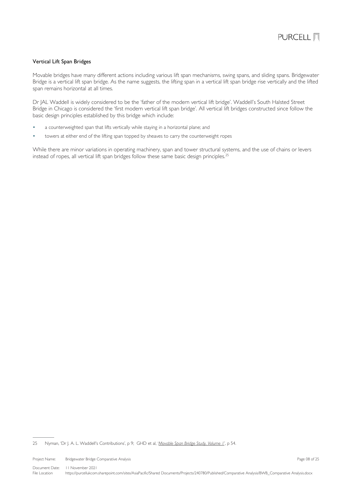### Vertical Lift Span Bridges

Movable bridges have many different actions including various lift span mechanisms, swing spans, and sliding spans. Bridgewater Bridge is a vertical lift span bridge. As the name suggests, the lifting span in a vertical lift span bridge rise vertically and the lifted span remains horizontal at all times.

Dr JAL Waddell is widely considered to be the 'father of the modern vertical lift bridge'. Waddell's South Halsted Street Bridge in Chicago is considered the 'first modern vertical lift span bridge'. All vertical lift bridges constructed since follow the basic design principles established by this bridge which include:

- a counterweighted span that lifts vertically while staying in a horizontal plane; and
- towers at either end of the lifting span topped by sheaves to carry the counterweight ropes

While there are minor variations in operating machinery, span and tower structural systems, and the use of chains or levers instead of ropes, all vertical lift span bridges follow these same basic design principles.<sup>[25](#page-7-0)</sup>

<span id="page-7-0"></span>25 Nyman, 'Dr J. A. L. Waddell's Contributions', p 9; GHD et al, '*Movable Span Bridge Study, Volume 1*', p 54.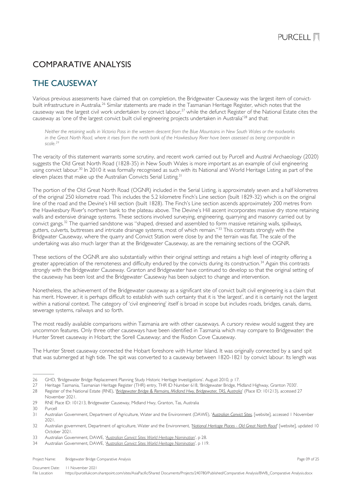## <span id="page-8-0"></span>COMPARATIVE ANALYSIS

## <span id="page-8-1"></span>THE CAUSEWAY

Various previous assessments have claimed that on completion, the Bridgewater Causeway was the largest item of convict-built infrastructure in Australia.<sup>[26](#page-8-2)</sup> Similar statements are made in the Tasmanian Heritage Register, which notes that the causeway was the largest civil work undertaken by convict labour,<sup>[27](#page-8-3)</sup> while the defunct Register of the National Estate cites the causeway as 'one of the largest convict built civil engineering projects undertaken in Australia'[28](#page-8-4) and that:

*Neither the retaining walls in Victoria Pass in the western descent from the Blue Mountains in New South Wales or the roadworks in the Great North Road, where it rises from the north bank of the Hawkesbury River have been assessed as being comparable in scale[.29](#page-8-5)*

The veracity of this statement warrants some scrutiny, and recent work carried out by Purcell and Austral Archaeology (2020) suggests the Old Great North Road (1828-35) in New South Wales is more important as an example of civil engineering using convict labour.<sup>[30](#page-8-6)</sup> In 2010 it was formally recognised as such with its National and World Heritage Listing as part of the eleven places that make up the Australian Convicts Serial Listing.<sup>[31](#page-8-7)</sup>

The portion of the Old Great North Road (OGNR) included in the Serial Listing, is approximately seven and a half kilometres of the original 250 kilometre road. This includes the 5.2 kilometre Finch's Line section (built 1829-32) which is on the original line of the road and the Devine's Hill section (built 1828). The Finch's Line section ascends approximately 200 metres from the Hawkesbury River's northern bank to the plateau above. The Devine's Hill ascent incorporates massive dry stone retaining walls and extensive drainage systems. These sections involved surveying, engineering, quarrying and masonry carried out by convict gangs. [32](#page-8-8) The quarried sandstone was "shaped, dressed and assembled to form massive retaining walls, spillways, gutters, culverts, buttresses and intricate drainage systems, most of which remain."[33](#page-8-9) This contrasts strongly with the Bridgwater Causeway, where the quarry and Convict Station were close by and the terrain was flat. The scale of the undertaking was also much larger than at the Bridgewater Causeway, as are the remaining sections of the OGNR.

These sections of the OGNR are also substantially within their original settings and retains a high level of integrity offering a greater appreciation of the remoteness and difficulty endured by the convicts during its construction.<sup>[34](#page-8-10)</sup> Again this contrasts strongly with the Bridgewater Causeway. Granton and Bridgewater have continued to develop so that the original setting of the causeway has been lost and the Bridgewater Causeway has been subject to change and intervention.

Nonetheless, the achievement of the Bridgewater causeway as a significant site of convict built civil engineering is a claim that has merit. However, it is perhaps difficult to establish with such certainty that it is 'the largest', and it is certainly not the largest within a national context. The category of 'civil engineering' itself is broad in scope but includes roads, bridges, canals, dams, sewerage systems, railways and so forth.

The most readily available comparisons within Tasmania are with other causeways. A cursory review would suggest they are uncommon features. Only three other causeways have been identified in Tasmania which may compare to Bridgewater: the Hunter Street causeway in Hobart; the Sorell Causeway; and the Risdon Cove Causeway.

The Hunter Street causeway connected the Hobart foreshore with Hunter Island. It was originally connected by a sand spit that was submerged at high tide. The spit was converted to a causeway between 1820-1821 by convict labour. Its length was

Document Date: 11 November 2021 File Location https://purcellukcom.sharepoint.com/sites/AsiaPacific/Shared Documents/Projects/240780/Published/Comparative Analysis/BWB\_Comparative Analysis.docx

<span id="page-8-3"></span><span id="page-8-2"></span><sup>26</sup> GHD, 'Bridgewater Bridge Replacement Planning Study Historic Heritage Investigations'. August 2010, p 17.

<sup>27</sup> Heritage Tasmania, Tasmanian Heritage Register (THR) entry, THR ID Number 618, 'Bridgewater Bridge, Midland Highway, Granton 7030'.

<span id="page-8-4"></span><sup>28</sup> Register of the National Estate (RNE), '*[Bridgewater Bridge & Remains, Midland Hwy, Bridgewater, TAS, Australia](http://www.environment.gov.au/cgi-bin/ahdb/search.pl?mode=place_detail;search=place_name%3Dbridgewater%2520bridge%3Blist_code%3DRNE%3Bkeyword_PD%3Don%3Bkeyword_SS%3Don%3Bkeyword_PH%3Don%3Blatitude_1dir%3DS%3Blongitude_1dir%3DE%3Blongitude_2dir%3DE%3Blatitude_2dir%3DS%3Bin_region%3Dpart;place_id=100185)*' (Place ID: 101213), accessed 27

November 2021.

<span id="page-8-5"></span><sup>29</sup> RNE Place ID: 101213, Bridgewater Causeway, Midland Hwy, Granton, Tas, Australia

<span id="page-8-7"></span><span id="page-8-6"></span><sup>30</sup> Purcell<br>31 Austral

<sup>31</sup> Australian Government, Department of Agriculture, Water and the Environment (DAWE), '*[Australian Convict Sites](https://www.awe.gov.au/parks-heritage/heritage/places/world/convict-sites)*, [website], accessed 1 November 2021.

<span id="page-8-8"></span><sup>32</sup> Australian government, Department of agriculture, Water and the Environment, '*[National Heritage Places -](https://www.awe.gov.au/parks-heritage/heritage/places/national/north-road) Old Great North Road*' [website], updated 10 October 2021.

<span id="page-8-9"></span><sup>33</sup> Australian Government, DAWE, '*[Australian Convict Sites World Heritage Nomination](https://whc.unesco.org/en/list/1306/documents/)*', p 28.

<span id="page-8-10"></span><sup>34</sup> Australian Government, DAWE, '*[Australian Convict Sites World Heritage Nomination](https://whc.unesco.org/en/list/1306/documents/)*', p 119.

Project Name: Bridgewater Bridge Comparative Analysis **Page 09 of 25** and 25 and 25 and 25 and 25 and 25 and 25 and 25 and 25 and 26 and 26 and 26 and 26 and 26 and 26 and 26 and 26 and 26 and 26 and 26 and 26 and 26 and 2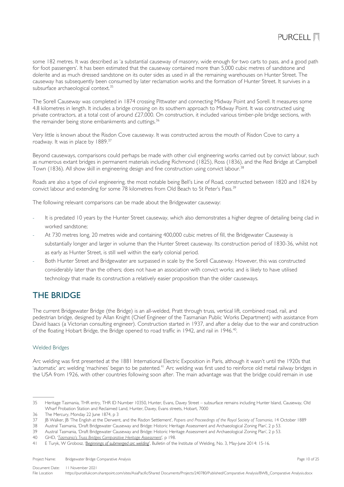

some 182 metres. It was described as 'a substantial causeway of masonry, wide enough for two carts to pass, and a good path for foot passengers'. It has been estimated that the causeway contained more than 5,000 cubic metres of sandstone and dolerite and as much dressed sandstone on its outer sides as used in all the remaining warehouses on Hunter Street. The causeway has subsequently been consumed by later reclamation works and the formation of Hunter Street. It survives in a subsurface archaeological context.<sup>[35](#page-9-2)</sup>

The Sorell Causeway was completed in 1874 crossing Pittwater and connecting Midway Point and Sorell. It measures some 4.8 kilometres in length. It includes a bridge crossing on its southern approach to Midway Point. It was constructed using private contractors, at a total cost of around £27,000. On construction, it included various timber-pile bridge sections, with the remainder being stone embankments and cuttings.<sup>[36](#page-9-3)</sup>

Very little is known about the Risdon Cove causeway. It was constructed across the mouth of Risdon Cove to carry a roadway. It was in place by 1889.[37](#page-9-4)

Beyond causeways, comparisons could perhaps be made with other civil engineering works carried out by convict labour, such as numerous extant bridges in permanent materials including Richmond (1825), Ross (1836), and the Red Bridge at Campbell Town (1836). All show skill in engineering design and fine construction using convict labour.<sup>[38](#page-9-5)</sup>

Roads are also a type of civil engineering, the most notable being Bell's Line of Road, constructed between 1820 and 1824 by convict labour and extending for some 78 kilometres from Old Beach to St Peter's Pass.<sup>[39](#page-9-6)</sup>

The following relevant comparisons can be made about the Bridgewater causeway:

- It is predated 10 years by the Hunter Street causeway, which also demonstrates a higher degree of detailing being clad in worked sandstone;
- At 730 metres long, 20 metres wide and containing 400,000 cubic metres of fill, the Bridgewater Causeway is substantially longer and larger in volume than the Hunter Street causeway. Its construction period of 1830-36, whilst not as early as Hunter Street, is still well within the early colonial period.
- Both Hunter Street and Bridgewater are surpassed in scale by the Sorell Causeway. However, this was constructed considerably later than the others; does not have an association with convict works; and is likely to have utilised technology that made its construction a relatively easier proposition than the older causeways.

## <span id="page-9-0"></span>THE BRIDGE

The current Bridgewater Bridge (the Bridge) is an all-welded, Pratt through truss, vertical lift, combined road, rail, and pedestrian bridge, designed by Allan Knight (Chief Engineer of the Tasmanian Public Works Department) with assistance from David Isaacs (a Victorian consulting engineer). Construction started in 1937, and after a delay due to the war and construction of the floating Hobart Bridge, the Bridge opened to road traffic in 1942, and rail in 1946.<sup>[40](#page-9-7)</sup>.

### <span id="page-9-1"></span>Welded Bridges

Arc welding was first presented at the 1881 International Electric Exposition in Paris, although it wasn't until the 1920s that 'automatic' arc welding 'machines' began to be patented.<sup>[41](#page-9-8)</sup> Arc welding was first used to reinforce old metal railway bridges in the USA from 1926, with other countries following soon after. The main advantage was that the bridge could remain in use

Project Name: Bridgewater Bridge Comparative Analysis **Page 10 of 25** and 25 and 25 and 25 and 25 and 25 and 25 and 25 and 25 and 25 and 25 and 25 and 25 and 26 and 26 and 26 and 26 and 26 and 27 and 27 and 28 and 28 and 2

<span id="page-9-2"></span><sup>35</sup> Heritage Tasmania, THR entry, THR ID Number 10350, Hunter, Evans, Davey Street – subsurface remains including Hunter Island, Causeway, Old Wharf Probation Station and Reclaimed Land, Hunter, Davey, Evans streets, Hobart, 7000

<span id="page-9-3"></span><sup>36</sup> The Mercury, Monday 22 June 1874, p 3

<span id="page-9-4"></span><sup>37</sup> JB Walker, JB 'The English at the Derwent, and the Risdon Settlement', *Papers and Proceedings of the Royal Society of Tasmania*, 14 October 1889

<span id="page-9-5"></span><sup>38</sup> Austral Tasmania, 'Draft Bridgewater Causeway and Bridge: Historic Heritage Assessment and Archaeological Zoning Plan', 2 p 53.

<span id="page-9-6"></span><sup>39</sup> Austral Tasmania, 'Draft Bridgewater Causeway and Bridge: Historic Heritage Assessment and Archaeological Zoning Plan', 2 p 53.

<span id="page-9-7"></span><sup>40</sup> GHD, '*[Tasmania's Truss Bridges Comparative Heritage Assessment](https://www.burnie.net/files/assets/public/hptrim/land-use-and-planning-programs-heritage-listings/burnie-heritage-study-doc-3-of-12-volume-2-assessment-and-management-report-cd-les-pln-012.pdf)*', p 198.

<span id="page-9-8"></span><sup>41</sup> E Turyk, W Grobosz, '*[Beginnings of submerged arc welding](http://bulletin.is.gliwice.pl/bulletin/biuletyn-instytutu-spawalnictwa-32014)*', Bulletin of the Institute of Welding, No. 3, May-June 2014: 15-16.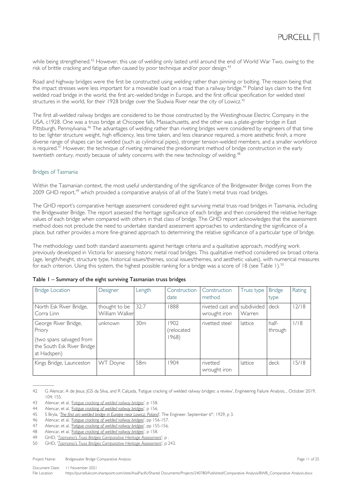while being strengthened.<sup>[42](#page-10-2)</sup> However, this use of welding only lasted until around the end of World War Two, owing to the risk of brittle cracking and fatigue often caused by poor technique and/or poor design. [43](#page-10-3)

Road and highway bridges were the first be constructed using welding rather than pinning or bolting. The reason being that the impact stresses were less important for a moveable load on a road than a railway bridge.<sup>[44](#page-10-4)</sup> Poland lays claim to the first welded road bridge in the world, the first arc-welded bridge in Europe, and the first official specification for welded steel structures in the world, for their 1928 bridge over the Sludwia River near the city of Lowicz.<sup>[45](#page-10-5)</sup>

The first all-welded railway bridges are considered to be those constructed by the Westinghouse Electric Company in the USA, c1928. One was a truss bridge at Chicopee falls, Massachusetts, and the other was a plate-girder bridge in East Pittsburgh, Pennsylvania. [46](#page-10-6) The advantages of welding rather than riveting bridges were considered by engineers of that time to be: lighter structure weight, high efficiency, less time taken, and less clearance required, a more aesthetic finish, a more diverse range of shapes can be welded (such as cylindrical pipes), stronger tension-welded members, and a smaller workforce is required.<sup>[47](#page-10-7)</sup> However, the technique of riveting remained the predominant method of bridge construction in the early twentieth century, mostly because of safety concerns with the new technology of welding.<sup>[48](#page-10-8)</sup>

### <span id="page-10-0"></span>Bridges of Tasmania

Within the Tasmanian context, the most useful understanding of the significance of the Bridgewater Bridge comes from the 2009 GHD report,<sup>[49](#page-10-9)</sup> which provided a comparative analysis of all of the State's metal truss road bridges.

The GHD report's comparative heritage assessment considered eight surviving metal truss road bridges in Tasmania, including the Bridgewater Bridge. The report assessed the heritage significance of each bridge and then considered the relative heritage values of each bridge when compared with others in that class of bridge. The GHD report acknowledges that the assessment method does not preclude the need to undertake standard assessment approaches to understanding the significance of a place, but rather provides a more fine-grained approach to determining the relative significance of a particular type of bridge.

The methodology used both standard assessments against heritage criteria and a qualitative approach, modifying work previously developed in Victoria for assessing historic metal road bridges. This qualitative method considered six broad criteria (age, length/height, structure type, historical issues/themes, social issues/themes, and aesthetic values), with numerical measures for each criterion. Using this system, the highest possible ranking for a bridge was a score of 18 (see [Table 1\)](#page-10-1). [50](#page-10-10)

| <b>Bridge Location</b>                                                                                  | Designer                        | Length          | Construction<br>date        | Construction<br>method                      | Truss type | <b>Bridge</b><br>type | Rating |
|---------------------------------------------------------------------------------------------------------|---------------------------------|-----------------|-----------------------------|---------------------------------------------|------------|-----------------------|--------|
| North Esk River Bridge,<br>Corra Linn                                                                   | thought to be<br>William Walker | 32.7            | 1888                        | riveted cast and subdivided<br>wrought iron | Warren     | deck                  | 12/18  |
| George River Bridge,<br>Priory<br>(two spans salvaged from<br>the South Esk River Bridge<br>at Hadspen) | unknown                         | 30 <sub>m</sub> | 1902<br>(relocated<br>1968) | rivetted steel                              | lattice    | half-<br>through      | 1/18   |
| Kings Bridge, Launceston                                                                                | WT Doyne                        | 58 <sub>m</sub> | 904                         | rivetted<br>wrought iron                    | lattice    | deck                  | 15/18  |

<span id="page-10-1"></span>

| Table I – Summary of the eight surviving Tasmanian truss bridges |  |  |  |  |  |  |
|------------------------------------------------------------------|--|--|--|--|--|--|
|------------------------------------------------------------------|--|--|--|--|--|--|

Project Name: Bridgewater Bridge Comparative Analysis **Page 11 of 25** and 25 and 25 and 25 and 25 and 25 and 25 and 25 and 25 and 25 and 25 and 25 and 25 and 25 and 25 and 25 and 26 and 26 and 27 and 27 and 28 and 28 and 2

<span id="page-10-2"></span><sup>42</sup> G Alencar, A de Jesus, JGS da Silva, and R Calçada, 'Fatigue cracking of welded railway bridges: a review', Engineering Failure Analysis, , October 2019, 104: 155.

<span id="page-10-3"></span><sup>43</sup> Alencar, et al, '*[Fatigue cracking of welded railway bridges](https://doi.org/10.1016/j.engfailanal.2019.05.037)*', p 158.

<span id="page-10-4"></span><sup>44</sup> Alencar, et al, '*[Fatigue cracking of welded railway bridges](https://doi.org/10.1016/j.engfailanal.2019.05.037)*', p 156.

<span id="page-10-5"></span><sup>45</sup> S Bryla, '*[The first arc-welded bridge in](https://bcpw.bg.pw.edu.pl/dlibra/publication/4031/edition/3986) Europe near Lowicz, Poland*', The Engineer. September 6th, 1929, p 3.

<span id="page-10-6"></span><sup>46</sup> Alencar, et al, '*[Fatigue cracking of welded railway bridges](https://doi.org/10.1016/j.engfailanal.2019.05.037)*', pp 156-157.

<span id="page-10-7"></span><sup>47</sup> Alencar, et al, '*[Fatigue cracking of welded railway bridges](https://doi.org/10.1016/j.engfailanal.2019.05.037)*', pp 155-156.

<span id="page-10-8"></span><sup>48</sup> Alencar, et al, '*[Fatigue cracking of welded railway bridges](https://doi.org/10.1016/j.engfailanal.2019.05.037)*', p 158.

<span id="page-10-9"></span><sup>49</sup> GHD, '*[Tasmania's Truss Bridges Comparative](https://www.burnie.net/files/assets/public/hptrim/land-use-and-planning-programs-heritage-listings/burnie-heritage-study-doc-3-of-12-volume-2-assessment-and-management-report-cd-les-pln-012.pdf) Heritage Assessment*', p .

<span id="page-10-10"></span><sup>50</sup> GHD, '*[Tasmania's Truss Bridges Comparative Heritage Assessment](https://www.burnie.net/files/assets/public/hptrim/land-use-and-planning-programs-heritage-listings/burnie-heritage-study-doc-3-of-12-volume-2-assessment-and-management-report-cd-les-pln-012.pdf)*', p 243.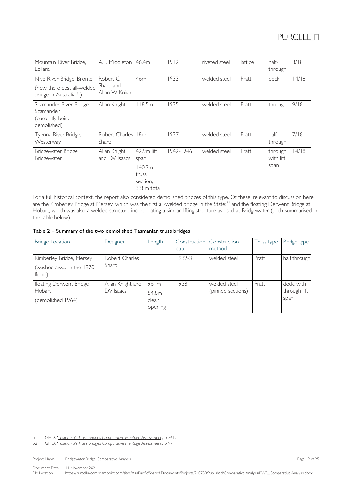| Mountain River Bridge,<br>Lollara                                                               | A.E. Middleton I                        | 46.4m                                                            | 1912      | riveted steel | lattice | half-<br>through             | 8/18 |
|-------------------------------------------------------------------------------------------------|-----------------------------------------|------------------------------------------------------------------|-----------|---------------|---------|------------------------------|------|
| Nive River Bridge, Bronte<br>(now the oldest all-welded<br>bridge in Australia. <sup>51</sup> ) | Robert C<br>Sharp and<br>Allan W Knight | 46m                                                              | 1933      | welded steel  | Pratt   | deck                         | 4/18 |
| Scamander River Bridge,<br>Scamander<br>(currently being<br>demolished)                         | Allan Knight                            | 118.5m                                                           | 1935      | welded steel  | Pratt   | through                      | 9/18 |
| Tyenna River Bridge,<br>Westerway                                                               | Robert Charles<br>Sharp                 | 18m                                                              | 1937      | welded steel  | Pratt   | half-<br>through             | 7/18 |
| Bridgewater Bridge,<br>Bridgewater                                                              | Allan Knight<br>and DV Isaacs           | 42.9m lift<br>span,<br>140.7m<br>truss<br>section.<br>338m total | 1942-1946 | welded steel  | Pratt   | through<br>with lift<br>span | 4/18 |

For a full historical context, the report also considered demolished bridges of this type. Of these, relevant to discussion here are the Kimberley Bridge at Mersey, which was the first all-welded bridge in the State;<sup>[52](#page-11-1)</sup> and the floating Derwent Bridge at Hobart, which was also a welded structure incorporating a similar lifting structure as used at Bridgewater (both summarised in the table below).

## <span id="page-11-2"></span>Table 2 – Summary of the two demolished Tasmanian truss bridges

| <b>Bridge Location</b>                                         | Designer                        | Length                                           | date       | Construction Construction<br>method | Truss type | Bridge type                        |
|----------------------------------------------------------------|---------------------------------|--------------------------------------------------|------------|-------------------------------------|------------|------------------------------------|
| Kimberley Bridge, Mersey<br>(washed away in the 1970<br>flood) | Robert Charles<br>Sharp         |                                                  | $1932 - 3$ | welded steel                        | Pratt      | half through                       |
| floating Derwent Bridge,<br>Hobart.<br>(demolished 1964)       | Allan Knight and<br>$DV$ Isaacs | $96 \, \mathrm{fm}$<br>54.8m<br>clear<br>opening | 1938       | welded steel<br>(pinned sections)   | Pratt      | deck, with<br>through lift<br>span |

Document Date: 11 November 2021<br>File Location bttps://purcelluk.com

<span id="page-11-0"></span><sup>51</sup> GHD, '*[Tasmania's Truss Bridges Comparative Heritage Assessment](https://www.burnie.net/files/assets/public/hptrim/land-use-and-planning-programs-heritage-listings/burnie-heritage-study-doc-3-of-12-volume-2-assessment-and-management-report-cd-les-pln-012.pdf)*', p 241.

<span id="page-11-1"></span><sup>52</sup> GHD, '*[Tasmania's Truss Bridges Comparative Heritage Assessment](https://www.burnie.net/files/assets/public/hptrim/land-use-and-planning-programs-heritage-listings/burnie-heritage-study-doc-3-of-12-volume-2-assessment-and-management-report-cd-les-pln-012.pdf)*', p 97.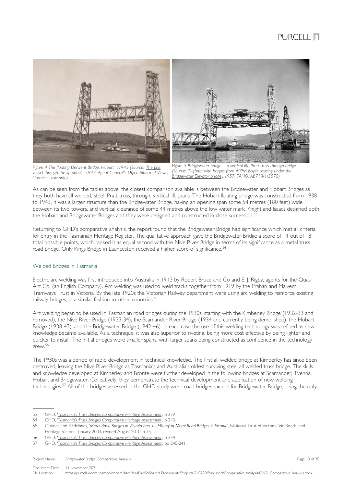

*Figure 4 The floating Derwent Bridge, Hobart c1943 (Source: ['The first](https://stors.tas.gov.au/AA193-1-1148)  [vessel through the lift span',](https://stors.tas.gov.au/AA193-1-1148) c1943, Agent-General's Office Album of Views, Libraries Tasmania)*

*Figure 5 Bridgewater bridge – a vertical lift, Pratt truss through bridge. (Source: ['Tugboat with barges from APPM](https://stors.tas.gov.au/AI/AB713-1-5575) Boyer passing under the [Bridgewater Elevator bridge',](https://stors.tas.gov.au/AI/AB713-1-5575) 1957, TAHO, AB713/1/5575)*

As can be seen from the tables above, the closest comparison available is between the Bridgewater and Hobart Bridges as they both have all welded, steel, Pratt truss, through, vertical lift spans. The Hobart floating bridge was constructed from 1938 to 1943. It was a larger structure than the Bridgewater Bridge, having an opening span some 54 metres (180 feet) wide between its two towers, and vertical clearance of some 44 metres above the low water mark. Knight and Isaacs designed both the Hobart and Bridgewater Bridges and they were designed and constructed in close succession.<sup>[53](#page-12-1)</sup>

Returning to GHD's comparative analysis, the report found that the Bridgewater Bridge had significance which met all criteria for entry in the Tasmanian Heritage Register. The qualitative approach gave the Bridgewater Bridge a score of 14 out of 18 total possible points, which ranked it as equal second with the Nive River Bridge in terms of its significance as a metal truss road bridge. Only Kings Bridge in Launceston received a higher score of significance.<sup>[54](#page-12-2)</sup>

## <span id="page-12-0"></span>Welded Bridges in Tasmania

Electric arc welding was first introduced into Australia in 1913 by Robert Bruce and Co and E. J. Rigby, agents for the Quasi Arc Co, (an English Company). Arc welding was used to weld tracks together from 1919 by the Prahan and Malvern Tramways Trust in Victoria. By the late 1920s the Victorian Railway department were using arc welding to reinforce existing railway bridges, in a similar fashion to other countries.<sup>[55](#page-12-3)</sup>

Arc welding began to be used in Tasmanian road bridges during the 1930s, starting with the Kimberley Bridge (1932-33 and removed), the Nive River Bridge (1933-34), the Scamander River Bridge (1934 and currently being demolished), the Hobart Bridge (1938-43), and the Bridgewater Bridge (1942-46). In each case the use of this welding technology was refined as new knowledge became available. As a technique, it was also superior to riveting, being more cost effective by being lighter and quicker to install. The initial bridges were smaller spans, with larger spans being constructed as confidence in the technology grew.[56](#page-12-4)

The 1930s was a period of rapid development in technical knowledge. The first all welded bridge at Kimberley has since been destroyed, leaving the Nive River Bridge as Tasmania's and Australia's oldest surviving steel all welded truss bridge. The skills and knowledge developed at Kimberley and Bronte were further developed in the following bridges at Scamander, Tyenna, Hobart and Bridgewater. Collectively, they demonstrate the technical development and application of new welding technologies.<sup>[57](#page-12-5)</sup> All of the bridges assessed in the GHD study were road bridges except for Bridgewater Bridge, being the only

<span id="page-12-1"></span><sup>53</sup> GHD, '*[Tasmania's Truss Bridges Comparative Heritage Assessment](https://www.burnie.net/files/assets/public/hptrim/land-use-and-planning-programs-heritage-listings/burnie-heritage-study-doc-3-of-12-volume-2-assessment-and-management-report-cd-les-pln-012.pdf)*', p 239

<span id="page-12-2"></span><sup>54</sup> GHD, '*[Tasmania's Truss Bridges Comparative Heritage Assessment](https://www.burnie.net/files/assets/public/hptrim/land-use-and-planning-programs-heritage-listings/burnie-heritage-study-doc-3-of-12-volume-2-assessment-and-management-report-cd-les-pln-012.pdf)*', p 243.

<span id="page-12-3"></span><sup>55</sup> G Vines and K McInnes, '*Metal Road Bridges in Victoria Part 1 - [History of Metal Road Bridges in Victoria](https://www.researchgate.net/publication/231537067_Metal_Road_Bridges_in_Victoria_Part_1_-HISTORY_OF_METAL_ROAD_BRIDGES_IN_VICTORIA_National_Trust_of_Australia_Victoria)*', National Trust of Victoria, Vic Roads, and Heritage Victoria, January 2003, revised August 2010, p 75.

<span id="page-12-4"></span><sup>56</sup> GHD, '*[Tasmania's Truss Bridges Comparative Heritage Assessment](https://www.burnie.net/files/assets/public/hptrim/land-use-and-planning-programs-heritage-listings/burnie-heritage-study-doc-3-of-12-volume-2-assessment-and-management-report-cd-les-pln-012.pdf)*', p 234

<span id="page-12-5"></span><sup>57</sup> GHD, '*[Tasmania's Truss Bridges Comparative Heritage Assessment](https://www.burnie.net/files/assets/public/hptrim/land-use-and-planning-programs-heritage-listings/burnie-heritage-study-doc-3-of-12-volume-2-assessment-and-management-report-cd-les-pln-012.pdf)*', pp 240-241.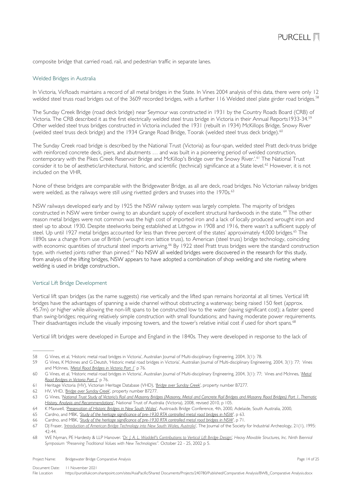composite bridge that carried road, rail, and pedestrian traffic in separate lanes.

#### <span id="page-13-0"></span>Welded Bridges in Australia

In Victoria, VicRoads maintains a record of all metal bridges in the State. In Vines 2004 analysis of this data, there were only 12 welded steel truss road bridges out of the 3609 recorded bridges, with a further 116 Welded steel plate girder road bridges. [58](#page-13-2)

The Sunday Creek Bridge (road deck bridge) near Seymour was constructed in 1931 by the Country Roads Board (CRB) of Victoria. The CRB described it as the first electrically welded steel truss bridge in Victoria in their Annual Reports1933-34. [59](#page-13-3) Other welded steel truss bridges constructed in Victoria included the 1931 (rebuilt in 1934) McKillops Bridge, Snowy River (welded steel truss deck bridge) and the 1934 Grange Road Bridge, Toorak (welded steel truss deck bridge).[60](#page-13-4)

The Sunday Creek road bridge is described by the National Trust (Victoria) as four-span, welded steel Pratt deck-truss bridge with reinforced concrete deck, piers, and abutments … and was built in a pioneering period of welded construction, contemporary with the Pikes Creek Reservoir Bridge and McKillop's Bridge over the Snowy River.'.<sup>[61](#page-13-5)</sup> The National Trust consider it to be of aesthetic/architectural, historic, and scientific (technical) significance at a State level. [62](#page-13-6) However, it is not included on the VHR.

None of these bridges are comparable with the Bridgewater Bridge, as all are deck, road bridges. No Victorian railway bridges were welded, as the railways were still using rivetted girders and trusses into the 1970s.<sup>[63](#page-13-7)</sup>

NSW railways developed early and by 1925 the NSW railway system was largely complete. The majority of bridges constructed in NSW were timber owing to an abundant supply of excellent structural hardwoods in the state. [64](#page-13-8) The other reason metal bridges were not common was the high cost of imported iron and a lack of locally produced wrought iron and steel up to about 1930. Despite steelworks being established at Lithgow in 1908 and 1916, there wasn't a sufficient supply of steel. Up until 1927 metal bridges accounted for less than three percent of the states' approximately 4,000 bridges.<sup>[65](#page-13-9)</sup> The 1890s saw a change from use of British (wrought iron lattice truss), to American (steel truss) bridge technology, coinciding with economic quantities of structural steel imports arriving.<sup>[66](#page-13-10)</sup> By 1922 steel Pratt truss bridges were the standard construction type, with riveted joints rather than pinned.<sup>[67](#page-13-11)</sup> No NSW all welded bridges were discovered in the research for this study, from analysis of the lifting bridges, NSW appears to have adopted a combination of shop welding and site riveting where welding is used in bridge construction..

### <span id="page-13-1"></span>Vertical Lift Bridge Development

Vertical lift span bridges (as the name suggests) rise vertically and the lifted span remains horizontal at all times. Vertical lift bridges have the advantages of spanning a wide channel without obstructing a waterway; being raised 150 feet (approx. 45.7m) or higher while allowing the non-lift spans to be constructed low to the water (saving significant cost); a faster speed than swing-bridges; requiring relatively simple construction with small foundations; and having moderate power requirements. Their disadvantages include the visually imposing towers, and the tower's relative initial cost if used for short spans.<sup>[68](#page-13-12)</sup>

Vertical lift bridges were developed in Europe and England in the 1840s. They were developed in response to the lack of

Project Name: Bridgewater Bridge Comparative Analysis **Page 14 of 25** and 25 and 25 and 25 and 25 and 25 and 25 and 25 and 25 and 25 and 25 and 25 and 25 and 25 and 25 and 25 and 26 and 27 and 27 and 27 and 28 and 27 and 2

Document Date: 11 November 2021 File Location https://purcellukcom.sharepoint.com/sites/AsiaPacific/Shared Documents/Projects/240780/Published/Comparative Analysis/BWB\_Comparative Analysis.docx

<span id="page-13-2"></span><sup>58</sup> G Vines, et al, 'Historic metal road bridges in Victoria', Australian Journal of Multi-disciplinary Engineering, 2004, 3(1): 78.

<span id="page-13-3"></span><sup>59</sup> G Vines, K McInnes and G Deutsh, 'Historic metal road bridges in Victoria', Australian Journal of Multi-disciplinary Engineering, 2004, 3(1): 77; Vines and McInnes, '*[Metal Road Bridges in Victoria Part 1](https://www.researchgate.net/publication/231537067_Metal_Road_Bridges_in_Victoria_Part_1_-HISTORY_OF_METAL_ROAD_BRIDGES_IN_VICTORIA_National_Trust_of_Australia_Victoria)*' p 76.

<span id="page-13-4"></span><sup>60</sup> G Vines, et al, 'Historic metal road bridges in Victoria', Australian Journal of Multi-disciplinary Engineering, 2004, 3(1): 77; Vines and McInnes, '*[Metal](https://www.researchgate.net/publication/231537067_Metal_Road_Bridges_in_Victoria_Part_1_-HISTORY_OF_METAL_ROAD_BRIDGES_IN_VICTORIA_National_Trust_of_Australia_Victoria)  [Road Bridges in Victoria Part 1](https://www.researchgate.net/publication/231537067_Metal_Road_Bridges_in_Victoria_Part_1_-HISTORY_OF_METAL_ROAD_BRIDGES_IN_VICTORIA_National_Trust_of_Australia_Victoria)*' p 76.

<span id="page-13-5"></span><sup>61</sup> Heritage Victoria (HV), Victorian Heritage Database (VHD), '*[Bridge over Sunday Creek](https://vhd.heritagecouncil.vic.gov.au/places/71580)*', property number B7277.

<span id="page-13-6"></span><sup>62</sup> HV, VHD, '*[Bridge over Sunday Creek](https://vhd.heritagecouncil.vic.gov.au/places/71580)*', property number B7277.

<span id="page-13-7"></span><sup>63</sup> G Vines, '*[National Trust Study of Victoria's Rail and Masonry Bridges \(Masonry, Metal and Concrete Rail Bridges and Masonry Road Bridges\) Part 1. Thematic](https://www.academia.edu/5781096/National_Trust_Study_of_Victorias_Concrete_Bridges_Vol_1)  [History, Analysis and Recommendations](https://www.academia.edu/5781096/National_Trust_Study_of_Victorias_Concrete_Bridges_Vol_1)*', National Trust of Australia (Victoria), 2008, revised 2010, p 105.

<span id="page-13-8"></span><sup>64</sup> K Maxwell, '*[Preservation of Historic Bridges in New South Wales](https://railknowledgebank.com/Presto/search/SearchResults.aspx?q=IlByZXNlcnZhdGlvbiBvZiBIaXN0b3JpYyBCcmlkZ2VzIGluIE5ldyBTb3V0aCBXYWxlcyI%3d)*', Austroads Bridge Conference, 4th, 2000, Adelaide, South Australia, 2000,

<span id="page-13-9"></span>Cardno, and MBK, '*[Study of the heritage significance of pre-1930 RTA controlled metal road bridges in NSW](https://roads-waterways.transport.nsw.gov.au/documents/about/environment/bridge-types-historical-overviews-2006-pre1930metal.pdf)*', p 63.

<span id="page-13-10"></span><sup>66</sup> Cardno, and MBK, '*[Study of the heritage significance of pre-1930 RTA controlled metal road bridges in NSW](https://roads-waterways.transport.nsw.gov.au/documents/about/environment/bridge-types-historical-overviews-2006-pre1930metal.pdf)*', p 71.

<span id="page-13-11"></span><sup>67</sup> DJ Fraser, *['Introduction of American Bridge Technology into New South Wales, Australia](http://www.jstor.org/stable/40968295)*', The Journal of the Society for Industrial Archeology, 21(1), 1995: 42-44.

<span id="page-13-12"></span><sup>68</sup> WE Nyman, PE Hardesty & LLP Hanover. '*[Dr. J. A. L. Waddell's Contributions to Vertical Lift Bridge Design'](https://heavymovablestructures.org/wp-content/uploads/2017/12/0092.pdf)*. *Heavy Movable Structures, Inc. Ninth Biennial Symposium "Preserving Traditional Values with New Technologies".* October 22 - 25, 2002 p 5.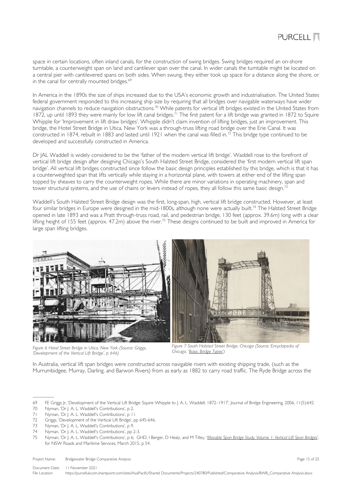space in certain locations, often inland canals, for the construction of swing bridges. Swing bridges required an on-shore turntable, a counterweight span on land and cantilever span over the canal. In wider canals the turntable might be located on a central pier with cantilevered spans on both sides. When swung, they either took up space for a distance along the shore, or in the canal for centrally mounted bridges.<sup>[69](#page-14-0)</sup>

In America in the 1890s the size of ships increased due to the USA's economic growth and industrialisation. The United States federal government responded to this increasing ship size by requiring that all bridges over navigable waterways have wider navigation channels to reduce navigation obstructions.[70](#page-14-1) While patents for vertical lift bridges existed in the United States from 1872, up until 1893 they were mainly for low lift canal bridges.<sup>[71](#page-14-2)</sup> The first patent for a lift bridge was granted in 1872 to Squire Whipple for 'Improvement in lift draw bridges'. Whipple didn't claim invention of lifting bridges, just an improvement. This bridge, the Hotel Street Bridge in Utica, New York was a through-truss lifting road bridge over the Erie Canal. It was constructed in 1874, rebuilt in 1883 and lasted until 1921 when the canal was filled in.[72](#page-14-3) This bridge type continued to be developed and successfully constructed in America.

Dr JAL Waddell is widely considered to be the 'father of the modern vertical lift bridge'. Waddell rose to the forefront of vertical lift bridge design after designing Chicago's South Halsted Street Bridge, considered the 'first modern vertical lift span bridge'. All vertical lift bridges constructed since follow the basic design principles established by this bridge, which is that it has a counterweighted span that lifts vertically while staying in a horizontal plane, with towers at either end of the lifting span topped by sheaves to carry the counterweight ropes. While there are minor variations in operating machinery, span and tower structural systems, and the use of chains or levers instead of ropes, they all follow this same basic design.<sup>[73](#page-14-4)</sup>

Waddell's South Halsted Street Bridge design was the first, long-span, high, vertical lift bridge constructed. However, at least four similar bridges in Europe were designed in the mid-1800s, although none were actually built.<sup>[74](#page-14-5)</sup> The Halsted Street Bridge opened in late 1893 and was a Pratt through-truss road, rail, and pedestrian bridge, 130 feet (approx. 39.6m) long with a clear lifting height of 155 feet (approx. 47.2m) above the river.<sup>[75](#page-14-6)</sup> These designs continued to be built and improved in America for large span lifting bridges.



*Figure 6 Hotel Street Bridge in Utica, New York (Source: Griggs, 'Development of the Vertical Lift Bridge', p 646)*

*Figure 7 South Halsted Street Bridge, Chicago (Source: Encyclopedia of Chicago, ['Basic Bridge Types](http://www.encyclopedia.chicagohistory.org/pages/300039.html)*'*)*

In Australia, vertical lift span bridges were constructed across navigable rivers with existing shipping trade, (such as the Murrumbidgee, Murray, Darling, and Barwon Rivers) from as early as 1882 to carry road traffic. The Ryde Bridge across the

<span id="page-14-6"></span>75 Nyman, 'Dr J. A. L. Waddell's Contributions', p 6; GHD, I Berger, D Healy, and M Tilley, '*[Movable Span Bridge Study, Volume 1: Vertical Lift Span Bridges](https://roads-waterways.transport.nsw.gov.au/about/environment/protecting-heritage/movable-span-bridge-study.html)*', for NSW Roads and Maritime Services, March 2015, p 54.

Project Name: Bridgewater Bridge Comparative Analysis **Page 15 of 25** of 25 of 25 of 25 of 25 of 25 of 25 of 25 of 25 of 25 of 25 of 25 of 25 of 25 of 25 of 25 of 25 of 25 of 25 of 25 of 25 of 25 of 25 of 25 of 25 of 25 of

Document Date: 11 November 2021 File Location https://purcellukcom.sharepoint.com/sites/AsiaPacific/Shared Documents/Projects/240780/Published/Comparative Analysis/BWB\_Comparative Analysis.docx

<span id="page-14-0"></span><sup>69</sup> FE Griggs Jr, 'Development of the Vertical Lift Bridge: Squire Whipple to J. A. L. Waddell, 1872–1917', Journal of Bridge Engineering, 2006, 11(5):642

<span id="page-14-1"></span><sup>70</sup> Nyman, 'Dr J. A. L. Waddell's Contributions', p 2.

<span id="page-14-2"></span>Nyman, 'Dr J. A. L. Waddell's Contributions', p 11.

<span id="page-14-3"></span><sup>72</sup> Griggs, 'Development of the Vertical Lift Bridge', pp 645-646.

<span id="page-14-4"></span><sup>73</sup> Nyman, 'Dr J. A. L. Waddell's Contributions', p 9.

<span id="page-14-5"></span><sup>74</sup> Nyman, 'Dr J. A. L. Waddell's Contributions', pp 2-3.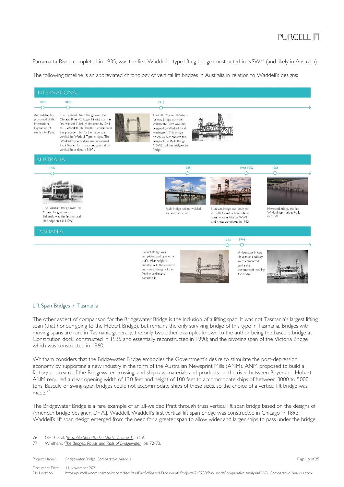## **PURCELL 图**

Parramatta River, completed in 1935, was the first Waddell – type lifting bridge constructed in NSW<sup>[76](#page-15-1)</sup> (and likely in Australia).

The following timeline is an abbreviated chronology of vertical lift bridges in Australia in relation to Waddell's designs:



### <span id="page-15-0"></span>Lift Span Bridges in Tasmania

The other aspect of comparison for the Bridgewater Bridge is the inclusion of a lifting span. It was not Tasmania's largest lifting span (that honour going to the Hobart Bridge), but remains the only surviving bridge of this type in Tasmania. Bridges with moving spans are rare in Tasmania generally, the only two other examples known to the author being the bascule bridge at Constitution dock, constructed in 1935 and essentially reconstructed in 1990; and the pivoting span of the Victoria Bridge which was constructed in 1960.

Whitham considers that the Bridgewater Bridge embodies the Government's desire to stimulate the post-depression economy by supporting a new industry in the form of the Australian Newsprint Mills (ANM). ANM proposed to build a factory upstream of the Bridgewater crossing, and ship raw materials and products on the river between Boyer and Hobart. ANM required a clear opening width of 120 feet and height of 100 feet to accommodate ships of between 3000 to 5000 tons. Bascule or swing-span bridges could not accommodate ships of these sizes, so the choice of a vertical lift bridge was made.[77](#page-15-2)

The Bridgewater Bridge is a rare example of an all-welded Pratt through truss vertical lift span bridge based on the designs of American bridge designer, Dr A.J. Waddell. Waddell's first vertical lift span bridge was constructed in Chicago in 1893. Waddell's lift span design emerged from the need for a greater span to allow wider and larger ships to pass under the bridge

<span id="page-15-1"></span><sup>76</sup> GHD et al, '*Movable Span Bridge Study, Volume 1*', p 59.

<span id="page-15-2"></span><sup>77</sup> Whitham, '*[The Bridges, Roads and Rails of Bridgewater](https://search.informit.org/doi/abs/10.3316/ielapa.900101326)*', *pp* 72-73.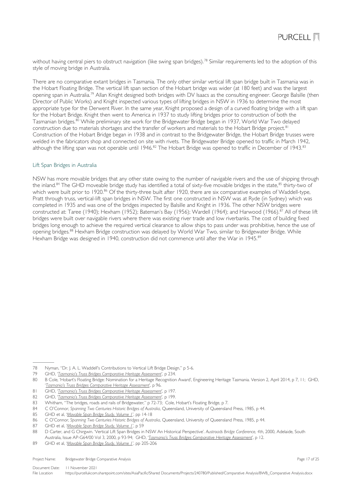without having central piers to obstruct navigation (like swing span bridges).<sup>[78](#page-16-1)</sup> Similar requirements led to the adoption of this style of moving bridge in Australia.

There are no comparative extant bridges in Tasmania. The only other similar vertical lift span bridge built in Tasmania was in the Hobart Floating Bridge. The vertical lift span section of the Hobart bridge was wider (at 180 feet) and was the largest opening span in Australia.[79](#page-16-2) Allan Knight designed both bridges with DV Isaacs as the consulting engineer. George Balsille (then Director of Public Works) and Knight inspected various types of lifting bridges in NSW in 1936 to determine the most appropriate type for the Derwent River. In the same year, Knight proposed a design of a curved floating bridge with a lift span for the Hobart Bridge. Knight then went to America in 1937 to study lifting bridges prior to construction of both the Tasmanian bridges.[80](#page-16-3) While preliminary site work for the Bridgewater Bridge began in 1937, World War Two delayed construction due to materials shortages and the transfer of workers and materials to the Hobart Bridge project.<sup>[81](#page-16-4)</sup> Construction of the Hobart Bridge began in 1938 and in contrast to the Bridgewater Bridge, the Hobart Bridge trusses were welded in the fabricators shop and connected on site with rivets. The Bridgewater Bridge opened to traffic in March 1942, although the lifting span was not operable until 1946.<sup>[82](#page-16-5)</sup> The Hobart Bridge was opened to traffic in December of 1943.<sup>[83](#page-16-6)</sup>

### <span id="page-16-0"></span>Lift Span Bridges in Australia

NSW has more movable bridges that any other state owing to the number of navigable rivers and the use of shipping through the inland.<sup>[84](#page-16-7)</sup> The GHD moveable bridge study has identified a total of sixty-five movable bridges in the state,<sup>[85](#page-16-8)</sup> thirty-two of which were built prior to 1920.<sup>[86](#page-16-9)</sup> Of the thirty-three built after 1920, there are six comparative examples of Waddell-type, Pratt through truss, vertical-lift span bridges in NSW. The first one constructed in NSW was at Ryde (in Sydney) which was completed in 1935 and was one of the bridges inspected by Balsille and Knight in 1936. The other NSW bridges were constructed at: Taree (1940); Hexham (1952); Bateman's Bay (1956); Wardell (1964); and Harwood (1966).<sup>[87](#page-16-10)</sup> All of these lift bridges were built over navigable rivers where there was existing river trade and low riverbanks. The cost of building fixed bridges long enough to achieve the required vertical clearance to allow ships to pass under was prohibitive, hence the use of opening bridges.[88](#page-16-11) Hexham Bridge construction was delayed by World War Two, similar to Bridgewater Bridge. While Hexham Bridge was designed in 1940, construction did not commence until after the War in 1945.<sup>[89](#page-16-12)</sup>

Project Name: Bridgewater Bridge Comparative Analysis **Page 17 of 25** and 25 of 25 and 25 of 25 and 25 and 25 and 25 and 25 and 25 and 25 and 25 and 26 and 26 and 26 and 27 of 25 and 27 of 25 and 27 of 25 and 27 of 25 and

<span id="page-16-2"></span><span id="page-16-1"></span><sup>78</sup> Nyman, "Dr. J. A. L. Waddell's Contributions to Vertical Lift Bridge Design," p 5-6.<br>79 GHD. 'Tasmania's Truss Bridges Combarative Heritage Assessment'. p 234.

<sup>79</sup> GHD, '*[Tasmania's Truss Bridges Comparative Heritage Assessment](https://www.burnie.net/files/assets/public/hptrim/land-use-and-planning-programs-heritage-listings/burnie-heritage-study-doc-3-of-12-volume-2-assessment-and-management-report-cd-les-pln-012.pdf)*', p 234.

<span id="page-16-3"></span><sup>80</sup> B Cole, 'Hobart's Floating Bridge: Nomination for a Heritage Recognition Award', Engineering Heritage Tasmania. Version 2, April 2014, p 7, 11; GHD, '*[Tasmania's Truss Bridges Comparative Heritage Assessment](https://www.burnie.net/files/assets/public/hptrim/land-use-and-planning-programs-heritage-listings/burnie-heritage-study-doc-3-of-12-volume-2-assessment-and-management-report-cd-les-pln-012.pdf)*', p 96.

<span id="page-16-4"></span><sup>81</sup> GHD, '*[Tasmania's Truss Bridges Comparative Heritage Assessment](https://www.burnie.net/files/assets/public/hptrim/land-use-and-planning-programs-heritage-listings/burnie-heritage-study-doc-3-of-12-volume-2-assessment-and-management-report-cd-les-pln-012.pdf)*', p 197.

<span id="page-16-5"></span><sup>82</sup> GHD, '*[Tasmania's Truss Bridges Comparative Heritage Assessment](https://www.burnie.net/files/assets/public/hptrim/land-use-and-planning-programs-heritage-listings/burnie-heritage-study-doc-3-of-12-volume-2-assessment-and-management-report-cd-les-pln-012.pdf)*', p 199.

<span id="page-16-6"></span><sup>83</sup> Whitham, "The bridges, roads and rails of Bridgewater," p 72-73; Cole, Hobart's Floating Bridge, p 7.

<span id="page-16-7"></span><sup>84</sup> C O'Connor, *Spanning Two Centuries Historic Bridges of Australia*, Queensland, University of Queensland Press, 1985, p 44.<br>85 GHD et al. 'Movable Span Bridge Study Volume 1' pp 14-18

<span id="page-16-8"></span><sup>85</sup> GHD et al, '*Movable Span Bridge Study, Volume 1*', pp 14-18

<span id="page-16-9"></span><sup>86</sup> C O'Connor, *Spanning Two Centuries Historic Bridges of Australia*, Queensland, University of Queensland Press, 1985, p 44.

<span id="page-16-10"></span><sup>87</sup> GHD et al, '*Movable Span Bridge Study, Volume 1*', p 59

<span id="page-16-11"></span><sup>88</sup> D Carter, and G Chirgwin. 'Vertical Lift Span Bridges in NSW An Historical Perspective'. *Austroads Bridge Conference, 4th*, 2000, Adelaide, South Australia, Issue AP-G64/00 Vol 3, 2000, p 93-94; GHD, '*[Tasmania's Truss Bridges Comparative Heritage Assessment](https://www.burnie.net/files/assets/public/hptrim/land-use-and-planning-programs-heritage-listings/burnie-heritage-study-doc-3-of-12-volume-2-assessment-and-management-report-cd-les-pln-012.pdf)*', p 12.

<span id="page-16-12"></span><sup>89</sup> GHD et al, '*Movable Span Bridge Study, Volume 1*', pp 205-206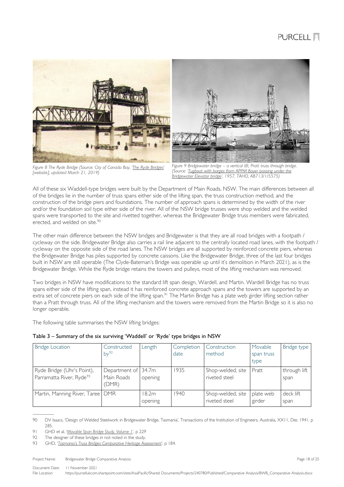

*Figure 8 The Ryde Bridge (Source: City of Canada Bay, ['The Ryde Bridges'](https://canadabayheritage.asn.au/the-ryde-bridges/)  [website], updated March 21, 2019)*

*Figure 9 Bridgewater bridge – a vertical lift, Pratt truss through bridge. (Source: ['Tugboat with barges from APPM Boyer passing under the](https://stors.tas.gov.au/AI/AB713-1-5575)  [Bridgewater Elevator bridge',](https://stors.tas.gov.au/AI/AB713-1-5575) 1957, TAHO, AB713/1/5575)*

All of these six Waddell-type bridges were built by the Department of Main Roads, NSW. The main differences between all of the bridges lie in the number of truss spans either side of the lifting span, the truss construction method, and the construction of the bridge piers and foundations. The number of approach spans is determined by the width of the river and/or the foundation soil type either side of the river. All of the NSW bridge trusses were shop welded and the welded spans were transported to the site and rivetted together, whereas the Bridgewater Bridge truss members were fabricated, erected, and welded on site. [90](#page-17-0)

The other main difference between the NSW bridges and Bridgewater is that they are all road bridges with a footpath / cycleway on the side. Bridgewater Bridge also carries a rail line adjacent to the centrally located road lanes, with the footpath / cycleway on the opposite side of the road lanes. The NSW bridges are all supported by reinforced concrete piers, whereas the Bridgewater Bridge has piles supported by concrete caissons. Like the Bridgewater Bridge, three of the last four bridges built in NSW are still operable (The Clyde-Bateman's Bridge was operable up until it's demolition in March 2021), as is the Bridgewater Bridge. While the Ryde bridge retains the towers and pulleys, most of the lifting mechanism was removed.

Two bridges in NSW have modifications to the standard lift span design, Wardell, and Martin. Wardell Bridge has no truss spans either side of the lifting span, instead it has reinforced concrete approach spans and the towers are supported by an extra set of concrete piers on each side of the lifting span.<sup>[91](#page-17-1)</sup> The Martin Bridge has a plate web girder lifting section rather than a Pratt through truss. All of the lifting mechanism and the towers were removed from the Martin Bridge so it is also no longer operable.

The following table summarises the NSW lifting bridges:

<span id="page-17-4"></span>

| Table 3 – Summary of the six surviving 'Waddell' or 'Ryde' type bridges in NSW |  |  |  |  |  |
|--------------------------------------------------------------------------------|--|--|--|--|--|
|--------------------------------------------------------------------------------|--|--|--|--|--|

| <b>Bridge Location</b>                                             | Constructed<br>by <sup>92</sup>      | Length            | Completion<br>date | Construction<br>method             | Movable<br>span truss<br>type | Bridge type          |
|--------------------------------------------------------------------|--------------------------------------|-------------------|--------------------|------------------------------------|-------------------------------|----------------------|
| Ryde Bridge (Uhr's Point),<br>Parramatta River, Ryde <sup>93</sup> | Department of<br>Main Roads<br>(DMR) | 134.7m<br>opening | 1935               | Shop-welded, site<br>riveted steel | Pratt                         | through lift<br>span |
| Martin, Manning River, Taree   DMR                                 |                                      | 18.2m<br>opening  | 1940               | Shop-welded, site<br>riveted steel | plate web<br>girder           | deck lift<br>span    |

<span id="page-17-0"></span><sup>90</sup> DV Isaacs, 'Design of Welded Steelwork in Bridgewater Bridge, Tasmania', Transactions of the Institution of Engineers, Australia, XX11, Dec 1941, p 285.

<span id="page-17-1"></span><sup>91</sup> GHD et al, '*Movable Span Bridge Study, Volume 1*', p 229

<span id="page-17-2"></span><sup>92</sup> The designer of these bridges in not noted in the study.

<span id="page-17-3"></span><sup>93</sup> GHD, '*[Tasmania's Truss Bridges Comparative Heritage Assessment](https://www.burnie.net/files/assets/public/hptrim/land-use-and-planning-programs-heritage-listings/burnie-heritage-study-doc-3-of-12-volume-2-assessment-and-management-report-cd-les-pln-012.pdf)*', p 184.

Project Name: Bridgewater Bridge Comparative Analysis **Page 18 of 25** and 25 and 25 and 25 and 25 and 25 and 25 and 25 and 25 and 25 and 25 and 25 and 25 and 25 and 25 and 25 and 26 and 26 and 27 and 27 and 28 and 29 and 2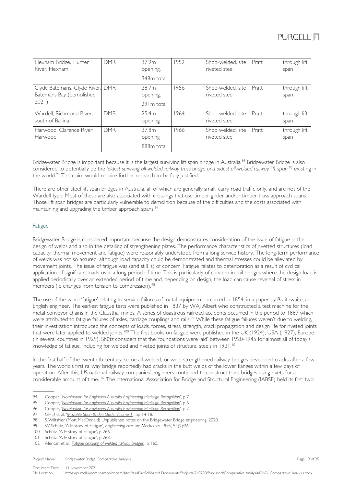| Hexham Bridge, Hunter<br>River, Hexham                                | <b>DMR</b> | 37.9m<br>opening,<br>348m total  | 1952 | Shop-welded, site<br>riveted steel | Pratt | through lift<br>span |
|-----------------------------------------------------------------------|------------|----------------------------------|------|------------------------------------|-------|----------------------|
| Clyde Batemans, Clyde River, DMR<br>Batemans Bay (demolished<br>2021) |            | 28.7m<br>opening,<br>29 Im total | 1956 | Shop welded, site<br>riveted steel | Pratt | through lift<br>span |
| Wardell, Richmond River,<br>south of Ballina                          | <b>DMR</b> | 25.4m<br>opening                 | 1964 | Shop welded, site<br>riveted steel | Pratt | through lift<br>span |
| Harwood, Clarence River,<br>Harwood                                   | <b>DMR</b> | 37.8m<br>opening<br>888m total   | 1966 | Shop welded, site<br>riveted steel | Pratt | through lift<br>span |

Bridgewater Bridge is important because it is the largest surviving lift span bridge in Australia.<sup>[94](#page-18-1)</sup> Bridgewater Bridge is also considered to potentially be the '*oldest surviving all-welded railway truss bridge and oldest all-welded railway lift span*' [95](#page-18-2) existing in the world. [96](#page-18-3) This claim would require further research to be fully justified.

There are other steel lift span bridges in Australia, all of which are generally small, carry road traffic only, and are not of the Wardell type. Most of these are also associated with crossings that use timber girder and/or timber truss approach spans. Those lift span bridges are particularly vulnerable to demolition because of the difficulties and the costs associated with maintaining and upgrading the timber approach spans.<sup>[97](#page-18-4)</sup>

### <span id="page-18-0"></span>Fatigue

Bridgewater Bridge is considered important because the design demonstrates consideration of the issue of fatigue in the design of welds and also in the detailing of strengthening plates. The performance characteristics of rivetted structures (load capacity, thermal movement and fatigue) were reasonably understood from a long service history. The long-term performance of welds was not so assured, although load capacity could be demonstrated and thermal stresses could be alleviated by movement joints. The issue of fatigue was (and still is) of concern. Fatigue relates to deterioration as a result of cyclical application of significant loads over a long period of time. This is particularly of concern in rail bridges where the design load is applied periodically over an extended period of time and, depending on design, the load can cause reversal of stress in members (ie changes from tension to compression).<sup>[98](#page-18-5)</sup>

The use of the word 'fatigue' relating to service failures of metal equipment occurred in 1854, in a paper by Braithwaite, an English engineer. The earliest fatigue tests were published in 1837 by WAJ Albert who constructed a test machine for the metal conveyor chains in the Clausthal mines. A series of disastrous railroad accidents occurred in the period to 1887 which were attributed to fatigue failures of axles, carriage couplings and rails.<sup>[99](#page-18-6)</sup> While these fatigue failures weren't due to welding, their investigation introduced the concepts of loads, forces, stress, strength, crack propagation and design life for riveted joints that were later applied to welded joints.<sup>[100](#page-18-7)</sup> The first books on fatigue were published in the UK (1924), USA (1927), Europe (in several countries in 1929). Shütz considers that the 'foundations were laid' between 1920-1945 for almost all of today's knowledge of fatigue, including for welded and riveted joints of structural steels in 1931.<sup>[101](#page-18-8)</sup>

In the first half of the twentieth century, some all-welded, or weld-strengthened railway bridges developed cracks after a few years. The world's first railway bridge reportedly had cracks in the butt welds of the lower flanges within a few days of operation. After this, US national railway companies' engineers continued to construct truss bridges using rivets for a considerable amount of time.<sup>[102](#page-18-9)</sup> The International Association for Bridge and Structural Engineering (IABSE) held its first two

Project Name: Bridgewater Bridge Comparative Analysis **Page 19 of 25** and 25 and 25 and 25 and 25 and 25 and 25 and 25 and 25 and 25 and 25 and 25 and 25 and 26 and 26 and 26 and 26 and 26 and 27 and 27 and 28 and 28 and 2

<span id="page-18-1"></span><sup>94</sup> Cooper. '*[Nomination for Engineers Australia Engineering Heritage Recognition](https://portal.engineersaustralia.org.au/heritage/bridgewater-bridge-hobart-tasmania)*', p 7.

<span id="page-18-2"></span><sup>95</sup> Cooper, '*[Nomination for Engineers Australia Engineering Heritage Recognition](https://portal.engineersaustralia.org.au/heritage/bridgewater-bridge-hobart-tasmania)*', p 6

<span id="page-18-3"></span><sup>96</sup> Cooper, '*[Nomination for Engineers Australia Engineering Heritage Recognition](https://portal.engineersaustralia.org.au/heritage/bridgewater-bridge-hobart-tasmania)*', p 7.

<span id="page-18-4"></span><sup>97</sup> GHD et al, '*Movable Span Bridge Study, Volume 1*', pp 14-18.

<span id="page-18-5"></span><sup>98</sup> S Wiltshier (Mott MacDonald) Unpublished notes on the Bridgewater Bridge engineering, 2020.

<span id="page-18-7"></span><span id="page-18-6"></span><sup>99</sup> W Schütz, 'A History of Fatigue', *Engineering Fracture Mechanics*, 1996, 54(2):264.

<sup>99</sup> W Schütz, 'A History of Fatigue', Eng<br>100 Schütz, 'A History of Fatigue', p 266.

<span id="page-18-8"></span><sup>101</sup> Schütz, 'A History of Fatigue', p 268.

<span id="page-18-9"></span><sup>102</sup> Alencar, et al, '*[Fatigue cracking of welded railway bridges](https://doi.org/10.1016/j.engfailanal.2019.05.037)*', p 160.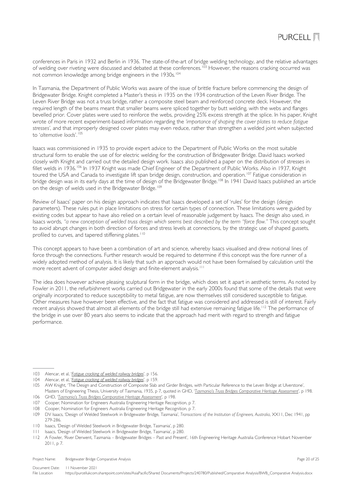

conferences in Paris in 1932 and Berlin in 1936. The state-of-the-art of bridge welding technology, and the relative advantages of welding over riveting were discussed and debated at these conferences.<sup>[103](#page-19-0)</sup> However, the reasons cracking occurred was not common knowledge among bridge engineers in the 1930s.<sup>[104](#page-19-1)</sup>

In Tasmania, the Department of Public Works was aware of the issue of brittle fracture before commencing the design of Bridgewater Bridge. Knight completed a Master's thesis in 1935 on the 1934 construction of the Leven River Bridge. The Leven River Bridge was not a truss bridge, rather a composite steel beam and reinforced concrete deck. However, the required length of the beams meant that smaller beams were spliced together by butt welding, with the webs and flanges bevelled prior. Cover plates were used to reinforce the webs, providing 25% excess strength at the splice. In his paper, Knight wrote of more recent experiment-based information regarding the *'importance of shaping the cover plates to reduce fatigue stresses'*, and that improperly designed cover plates may even reduce, rather than strengthen a welded joint when subjected to '*alternative loads*'. [105](#page-19-2)

Isaacs was commissioned in 1935 to provide expert advice to the Department of Public Works on the most suitable structural form to enable the use of for electric welding for the construction of Bridgewater Bridge. David Isaacs worked closely with Knight and carried out the detailed design work. Isaacs also published a paper on the distribution of stresses in fillet welds in 1936. [106](#page-19-3) In 1937 Knight was made Chief Engineer of the Department of Public Works. Also in 1937, Knight toured the USA and Canada to investigate lift span bridge design, construction, and operation.<sup>[107](#page-19-4)</sup> Fatigue consideration in bridge design was in its early days at the time of design of the Bridgewater Bridge.[108](#page-19-5) In 1941 David Isaacs published an article on the design of welds used in the Bridgewater Bridge.<sup>[109](#page-19-6)</sup>

Review of Isaacs' paper on his design approach indicates that Isaacs developed a set of 'rules' for the design (design parameters). These rules put in place limitations on stress for certain types of connection. These limitations were guided by existing codes but appear to have also relied on a certain level of reasonable judgement by Isaacs. The design also used, in Isaacs words, *"a new conception of welded truss design which seems best described by the term "force flow."* This concept sought to avoid abrupt changes in both direction of forces and stress levels at connections, by the strategic use of shaped gussets, profiled to curves, and tapered stiffening plates.<sup>[110](#page-19-7)</sup>

This concept appears to have been a combination of art and science, whereby Isaacs visualised and drew notional lines of force through the connections. Further research would be required to determine if this concept was the fore runner of a widely adopted method of analysis. It is likely that such an approach would not have been formalised by calculation until the more recent advent of computer aided design and finite-element analysis.<sup>[111](#page-19-8)</sup>

The idea does however achieve pleasing sculptural form in the bridge, which does set it apart in aesthetic terms. As noted by Fowler in 2011, the refurbishment works carried out Bridgewater in the early 2000s found that some of the details that were originally incorporated to reduce susceptibility to metal fatigue, are now themselves still considered susceptible to fatigue. Other measures have however been effective, and the fact that fatigue was considered and addressed is still of interest. Fairly recent analysis showed that almost all elements of the bridge still had extensive remaining fatigue life.<sup>[112](#page-19-9)</sup> The performance of the bridge in use over 80 years also seems to indicate that the approach had merit with regard to strength and fatigue performance.

<span id="page-19-8"></span>111 Isaacs, 'Design of Welded Steelwork in Bridgewater Bridge, Tasmania', p 280.

<span id="page-19-0"></span><sup>103</sup> Alencar, et al, '*[Fatigue cracking of welded railway bridges](https://doi.org/10.1016/j.engfailanal.2019.05.037)*', p 156.

<span id="page-19-1"></span><sup>104</sup> Alencar, et al, '*[Fatigue cracking of welded railway bridges](https://doi.org/10.1016/j.engfailanal.2019.05.037)*', p 159.

<span id="page-19-2"></span><sup>105</sup> AW Knight, 'The Design and Construction of Composite Slab and Girder Bridges, with Particular Reference to the Leven Bridge at Ulverstone', Masters of Engineering Thesis, University of Tasmania, 1935, p 7, quoted in GHD, '*[Tasmania's Truss Bridges Comparative Heritage Assessment](https://www.burnie.net/files/assets/public/hptrim/land-use-and-planning-programs-heritage-listings/burnie-heritage-study-doc-3-of-12-volume-2-assessment-and-management-report-cd-les-pln-012.pdf)*', p 198.

<span id="page-19-3"></span><sup>106</sup> GHD, '*[Tasmania's Truss Bridges Comparative Heritage Assessment](https://www.burnie.net/files/assets/public/hptrim/land-use-and-planning-programs-heritage-listings/burnie-heritage-study-doc-3-of-12-volume-2-assessment-and-management-report-cd-les-pln-012.pdf)*', p 198. 107 Cooper, Nomination for Engineers Australia Engineering Heritage Recognition, p 7.

<span id="page-19-5"></span><span id="page-19-4"></span><sup>108</sup> Cooper, Nomination for Engineers Australia Engineering Heritage Recognition, p 7.

<span id="page-19-6"></span><sup>109</sup> DV Isaacs, 'Design of Welded Steelwork in Bridgewater Bridge, Tasmania', *Transactions of the Institution of Engineers, Australia*, XX11, Dec 1941, pp 279-286.

<span id="page-19-7"></span><sup>110</sup> Isaacs, 'Design of Welded Steelwork in Bridgewater Bridge, Tasmania', p 280.

<span id="page-19-9"></span><sup>112</sup> A Fowler, 'River Derwent, Tasmania – Bridgewater Bridges – Past and Present', 16th Engineering Heritage Australia Conference Hobart November 2011, p 7.

Project Name: Bridgewater Bridge Comparative Analysis **Page 20 of 25** and 25 and 25 and 20 of 25 and 20 of 25 and 20 of 25 and 20 of 25 and 20 of 25 and 20 of 25 and 20 of 25 and 20 of 25 and 20 of 25 and 20 of 25 and 20 o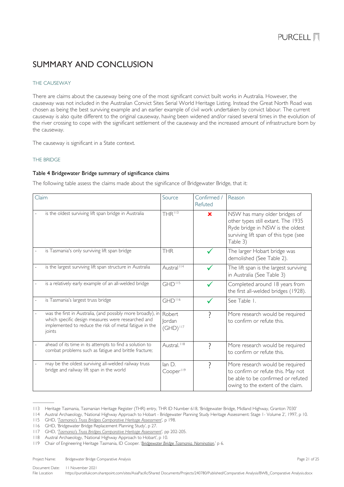## <span id="page-20-0"></span>SUMMARY AND CONCLUSION

### <span id="page-20-1"></span>THE CAUSEWAY

There are claims about the causeway being one of the most significant convict built works in Australia. However, the causeway was not included in the Australian Convict Sites Serial World Heritage Listing. Instead the Great North Road was chosen as being the best surviving example and an earlier example of civil work undertaken by convict labour. The current causeway is also quite different to the original causeway, having been widened and/or raised several times in the evolution of the river crossing to cope with the significant settlement of the causeway and the increased amount of infrastructure born by the causeway.

The causeway is significant in a State context.

### <span id="page-20-2"></span>THE BRIDGE

### Table 4 Bridgewater Bridge summary of significance claims

The following table assess the claims made about the significance of Bridgewater Bridge, that it:

| Claim |                                                                                                                                                                                       | Source                                   | Confirmed /<br>Refuted | Reason                                                                                                                                                       |
|-------|---------------------------------------------------------------------------------------------------------------------------------------------------------------------------------------|------------------------------------------|------------------------|--------------------------------------------------------------------------------------------------------------------------------------------------------------|
|       | is the oldest surviving lift span bridge in Australia                                                                                                                                 | THR <sup>113</sup>                       | $\mathbf x$            | NSW has many older bridges of<br>other types still extant. The 1935<br>Ryde bridge in NSW is the oldest<br>surviving lift span of this type (see<br>Table 3) |
|       | is Tasmania's only surviving lift span bridge                                                                                                                                         | <b>THR</b>                               |                        | The larger Hobart bridge was<br>demolished (See Table 2).                                                                                                    |
|       | is the largest surviving lift span structure in Australia                                                                                                                             | Austral <sup>114</sup>                   |                        | The lift span is the largest surviving<br>in Australia (See Table 3)                                                                                         |
|       | is a relatively early example of an all-welded bridge                                                                                                                                 | $GHD$ <sup><math>115</math></sup>        |                        | Completed around 18 years from<br>the first all-welded bridges (1928).                                                                                       |
|       | is Tasmania's largest truss bridge                                                                                                                                                    | GHD <sup>116</sup>                       |                        | See Table 1.                                                                                                                                                 |
|       | was the first in Australia, (and possibly more broadly), in<br>which specific design measures were researched and<br>implemented to reduce the risk of metal fatigue in the<br>joints | Robert<br><b>lordan</b><br>$(GHD)^{117}$ |                        | More research would be required<br>to confirm or refute this.                                                                                                |
|       | ahead of its time in its attempts to find a solution to<br>combat problems such as fatigue and brittle fracture;                                                                      | Austral. <sup>118</sup>                  |                        | More research would be required<br>to confirm or refute this.                                                                                                |
|       | may be the oldest surviving all-welded railway truss<br>bridge and railway lift span in the world                                                                                     | lan D.<br>Cooper <sup>119</sup>          | 2                      | More research would be required<br>to confirm or refute this. May not<br>be able to be confirmed or refuted<br>owing to the extent of the claim.             |

<span id="page-20-3"></span>113 Heritage Tasmania, Tasmanian Heritage Register (THR) entry, THR ID Number 618, 'Bridgewater Bridge, Midland Highway, Granton 7030'

<span id="page-20-4"></span>114 Austral Archaeology, 'National Highway Approach to Hobart - Bridgewater Planning Study Heritage Assessment: Stage 1- Volume 2', 1997, p 10.

<span id="page-20-6"></span><span id="page-20-5"></span>115 GHD, '*[Tasmania's Truss Bridges Comparative Heritage Assessment](https://www.burnie.net/files/assets/public/hptrim/land-use-and-planning-programs-heritage-listings/burnie-heritage-study-doc-3-of-12-volume-2-assessment-and-management-report-cd-les-pln-012.pdf)*', p 198.

116 GHD, 'Bridgewater Bridge Replacement Planning Study', p 27.

<span id="page-20-8"></span>118 Austral Archaeology, 'National Highway Approach to Hobart', p 10.

Project Name: Bridgewater Bridge Comparative Analysis **Page 21 of 25** and 25 of 25 and 20 of 25 and 21 of 25 and 21 of 25 and 21 of 25 and 21 of 25 and 21 of 25 and 21 of 25 and 21 of 25 and 21 of 25 and 21 of 25 and 21 of

<span id="page-20-7"></span><sup>117</sup> GHD, '*[Tasmania's Truss Bridges Comparative Heritage Assessment](https://www.burnie.net/files/assets/public/hptrim/land-use-and-planning-programs-heritage-listings/burnie-heritage-study-doc-3-of-12-volume-2-assessment-and-management-report-cd-les-pln-012.pdf)*', pp 202-205.

<span id="page-20-9"></span><sup>119</sup> Chair of Engineering Heritage Tasmania, ID Cooper. '*[Bridgewater Bridge Tasmania. Nomination](https://portal.engineersaustralia.org.au/heritage/bridgewater-bridge-hobart-tasmania)*,' p 6.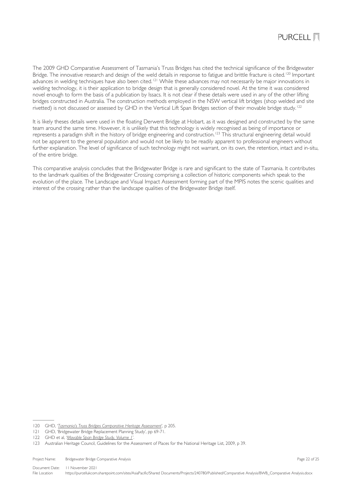

The 2009 GHD Comparative Assessment of Tasmania's Truss Bridges has cited the technical significance of the Bridgewater Bridge. The innovative research and design of the weld details in response to fatigue and brittle fracture is cited.<sup>[120](#page-21-0)</sup> Important advances in welding techniques have also been cited.<sup>[121](#page-21-1)</sup> While these advances may not necessarily be major innovations in welding technology, it is their application to bridge design that is generally considered novel. At the time it was considered novel enough to form the basis of a publication by Issacs. It is not clear if these details were used in any of the other lifting bridges constructed in Australia. The construction methods employed in the NSW vertical lift bridges (shop welded and site rivetted) is not discussed or assessed by GHD in the Vertical Lift Span Bridges section of their movable bridge study.[122](#page-21-2)

It is likely theses details were used in the floating Derwent Bridge at Hobart, as it was designed and constructed by the same team around the same time. However, it is unlikely that this technology is widely recognised as being of importance or represents a paradigm shift in the history of bridge engineering and construction.<sup>[123](#page-21-3)</sup> This structural engineering detail would not be apparent to the general population and would not be likely to be readily apparent to professional engineers without further explanation. The level of significance of such technology might not warrant, on its own, the retention, intact and in-situ, of the entire bridge.

This comparative analysis concludes that the Bridgewater Bridge is rare and significant to the state of Tasmania. It contributes to the landmark qualities of the Bridgewater Crossing comprising a collection of historic components which speak to the evolution of the place. The Landscape and Visual Impact Assessment forming part of the MPIS notes the scenic qualities and interest of the crossing rather than the landscape qualities of the Bridgewater Bridge itself.

<span id="page-21-0"></span><sup>120</sup> GHD, '*[Tasmania's Truss Bridges Comparative Heritage Assessment](https://www.burnie.net/files/assets/public/hptrim/land-use-and-planning-programs-heritage-listings/burnie-heritage-study-doc-3-of-12-volume-2-assessment-and-management-report-cd-les-pln-012.pdf)*', p 205.

<span id="page-21-1"></span><sup>121</sup> GHD, 'Bridgewater Bridge Replacement Planning Study', pp 69-71.

<span id="page-21-2"></span><sup>122</sup> GHD et al, '*Movable Span Bridge Study, Volume 1*'.

<span id="page-21-3"></span><sup>123</sup> Australian Heritage Council, Guidelines for the Assessment of Places for the National Heritage List, 2009, p 39.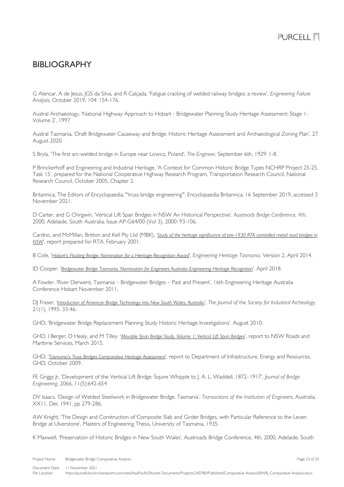## <span id="page-22-0"></span>BIBLIOGRAPHY

G Alencar, A de Jesus, JGS da Silva, and R Calçada, 'Fatigue cracking of welded railway bridges: a review', *Engineering Failure Analysis*, October 2019, 104: 154-176.

Austral Archaeology, 'National Highway Approach to Hobart - Bridgewater Planning Study Heritage Assessment: Stage 1- Volume 2', 1997

Austral Tasmania, 'Draft Bridgewater Causeway and Bridge: Historic Heritage Assessment and Archaeological Zoning Plan', 27 August 2020.

S Bryla, 'The first arc-welded bridge in Europe near Lowicz, Poland', *The Engineer*, September 6th, 1929: 1-8.

P Brinckerhoff and Engineering and Industrial Heritage, 'A Context for Common Historic Bridge Types NCHRP Project 25-25, Task 15', prepared for the National Cooperative Highway Research Program, Transportation Research Council, National Research Council, October 2005, Chapter 2.

Britannica, The Editors of Encyclopaedia, "'truss bridge engineering'". Encyclopaedia Britannica, 16 September 2019, accessed 3 November 2021.

D Carter, and G Chirgwin. 'Vertical Lift Span Bridges in NSW An Historical Perspective'. *Austroads Bridge Conference, 4th*, 2000, Adelaide, South Australia, Issue AP-G64/00 (Vol 3), 2000: 93-106.

Cardno, and McMillan, Britton and Kell Pty Ltd (MBK), '*[Study of the heritage significance of pre-1930 RTA controlled metal road bridges in](https://roads-waterways.transport.nsw.gov.au/documents/about/environment/bridge-types-historical-overviews-2006-pre1930metal.pdf)  [NSW](https://roads-waterways.transport.nsw.gov.au/documents/about/environment/bridge-types-historical-overviews-2006-pre1930metal.pdf)*', report prepared for RTA, February 2001.

B Cole, '*[Hobart's Floating Bridge: Nomination for a Heritage Recognition Award](https://portal.engineersaustralia.org.au/heritage/hobart-floating-bridge)*', *Engineering Heritage Tasmania*. Version 2, April 2014.

ID Cooper. '*[Bridgewater Bridge Tasmania. Nomination for Engineers Australia Engineering Heritage Recognition](https://portal.engineersaustralia.org.au/heritage/bridgewater-bridge-hobart-tasmania)*'. April 2018.

A Fowler, 'River Derwent, Tasmania – Bridgewater Bridges – Past and Present', 16th Engineering Heritage Australia Conference Hobart November 2011,

DJ Fraser, '*[Introduction of American Bridge Technology into New South Wales, Australia](http://www.jstor.org/stable/40968295)*', *The Journal of the Society for Industrial Archeology*, 21(1), 1995: 33-46.

GHD, 'Bridgewater Bridge Replacement Planning Study Historic Heritage Investigations'. August 2010.

GHD, I Berger, D Healy, and M Tilley. '*[Movable Span Bridge Study, Volume 1: Vertical Lift Span Bridges](https://roads-waterways.transport.nsw.gov.au/about/environment/protecting-heritage/movable-span-bridge-study.html)*', report to NSW Roads and Maritime Services, March 2015.

GHD, '*[Tasmania's Truss Bridges Comparative Heritage Assessment](https://www.burnie.net/files/assets/public/hptrim/land-use-and-planning-programs-heritage-listings/burnie-heritage-study-doc-3-of-12-volume-2-assessment-and-management-report-cd-les-pln-012.pdf)*', report to Department of Infrastructure, Energy and Resources, GHD, October 2009.

FE Griggs Jr, 'Development of the Vertical Lift Bridge: Squire Whipple to J. A. L. Waddell, 1872–1917', *Journal of Bridge Engineering*, 2066, 11(5):642-654

DV Isaacs, 'Design of Welded Steelwork in Bridgewater Bridge, Tasmania', *Transactions of the Institution of Engineers*, Australia, XX11, Dec 1941, pp 279-286.

AW Knight, 'The Design and Construction of Composite Slab and Girder Bridges, with Particular Reference to the Leven Bridge at Ulverstone', Masters of Engineering Thesis, University of Tasmania, 1935.

K Maxwell, 'Preservation of Historic Bridges in New South Wales', Austroads Bridge Conference, 4th, 2000, Adelaide, South

Project Name: Bridgewater Bridge Comparative Analysis **Page 23 of 25** of 25 of 25 of 25 of 25 of 25 of 25 of 25 of 25 of 25 of 25 of 25 of 25 of 25 of 25 of 25 of 25 of 25 of 25 of 25 of 25 of 25 of 25 of 25 of 25 of 25 of Document Date: 11 November 2021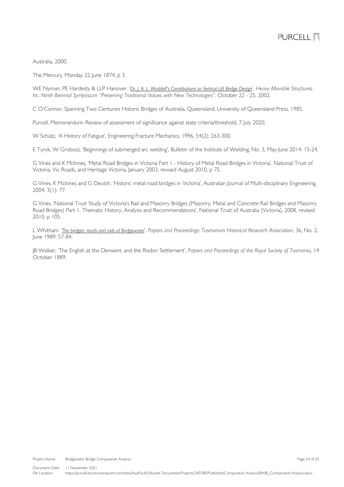Australia, 2000.

The Mercury, Monday 22 June 1874, p 3.

WE Nyman, PE Hardesty & LLP Hanover. '*[Dr. J. A. L. Waddell's Contributions to Vertical Lift Bridge Design](https://heavymovablestructures.org/wp-content/uploads/2017/12/0092.pdf)*'. *Heavy Movable Structures, Inc. Ninth Biennial Symposium "Preserving Traditional Values with New Technologies".* October 22 - 25, 2002.

C O'Connor, Spanning Two Centuries Historic Bridges of Australia, Queensland, University of Queensland Press, 1985.

Purcell, Memorandum: Review of assessment of significance against state criteria/threshold, 7 July 2020;

W Schütz, 'A History of Fatigue', Engineering Fracture Mechanics, 1996, 54(2): 263-300.

E Turyk, W Grobosz, 'Beginnings of submerged arc welding', Bulletin of the Institute of Welding, No. 3, May-June 2014: 15-24.

G Vines and K McInnes, 'Metal Road Bridges in Victoria Part 1 - History of Metal Road Bridges in Victoria', National Trust of Victoria, Vic Roads, and Heritage Victoria, January 2003, revised August 2010, p 75.

G Vines, K McInnes and G Deutsh, 'Historic metal road bridges in Victoria', Australian Journal of Multi-disciplinary Engineering, 2004, 3(1): 77

G Vines, 'National Trust Study of Victoria's Rail and Masonry Bridges (Masonry, Metal and Concrete Rail Bridges and Masonry Road Bridges) Part 1. Thematic History, Analysis and Recommendations', National Trust of Australia (Victoria), 2008, revised 2010, p 105.

L Whitham. '*[The bridges, roads and rails of Bridgewater](https://search.informit.org/doi/10.3316/IELAPA.900101326)*'. *Papers and Proceedings: Tasmanian Historical Research Association*, 36, No. 2, June 1989: 57-84.

JB Walker, 'The English at the Derwent, and the Risdon Settlement', *Papers and Proceedings of the Royal Society of Tasmania*, 14 October 1889.